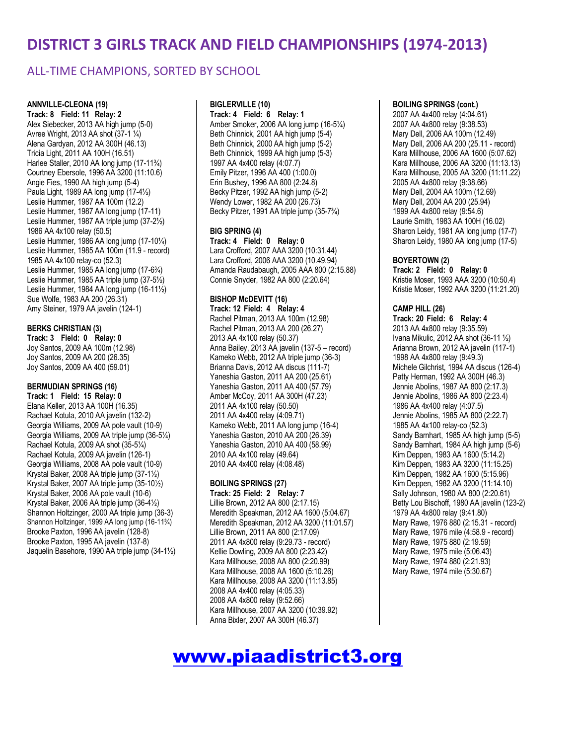### ALL-TIME CHAMPIONS, SORTED BY SCHOOL

#### **ANNVILLE-CLEONA (19)**

**Track: 8 Field: 11 Relay: 2** Alex Siebecker, 2013 AA high jump (5-0) Avree Wright, 2013 AA shot (37-1 ¼) Alena Gardyan, 2012 AA 300H (46.13) Tricia Light, 2011 AA 100H (16.51) Harlee Staller, 2010 AA long jump (17-11¾) Courtney Ebersole, 1996 AA 3200 (11:10.6) Angie Fies, 1990 AA high jump (5-4) Paula Light, 1989 AA long jump (17-4½) Leslie Hummer, 1987 AA 100m (12.2) Leslie Hummer, 1987 AA long jump (17-11) Leslie Hummer, 1987 AA triple jump (37-2½) 1986 AA 4x100 relay (50.5) Leslie Hummer, 1986 AA long jump (17-10¼) Leslie Hummer, 1985 AA 100m (11.9 - record) 1985 AA 4x100 relay-co (52.3) Leslie Hummer, 1985 AA long jump (17-6¾) Leslie Hummer, 1985 AA triple jump (37-5½) Leslie Hummer, 1984 AA long jump (16-11½) Sue Wolfe, 1983 AA 200 (26.31) Amy Steiner, 1979 AA javelin (124-1)

#### **BERKS CHRISTIAN (3)**

**Track: 3 Field: 0 Relay: 0** Joy Santos, 2009 AA 100m (12.98) Joy Santos, 2009 AA 200 (26.35) Joy Santos, 2009 AA 400 (59.01)

#### **BERMUDIAN SPRINGS (16)**

| Track: 1 Field: 15 Relay: 0                      |
|--------------------------------------------------|
| Elana Keller, 2013 AA 100H (16.35)               |
| Rachael Kotula, 2010 AA javelin (132-2)          |
| Georgia Williams, 2009 AA pole vault (10-9)      |
| Georgia Williams, 2009 AA triple jump (36-51/4)  |
| Rachael Kotula, 2009 AA shot (35-51⁄4)           |
| Rachael Kotula, 2009 AA javelin (126-1)          |
| Georgia Williams, 2008 AA pole vault (10-9)      |
| Krystal Baker, 2008 AA triple jump (37-11/2)     |
| Krystal Baker, 2007 AA triple jump (35-101/2)    |
| Krystal Baker, 2006 AA pole vault (10-6)         |
| Krystal Baker, 2006 AA triple jump (36-4½)       |
| Shannon Holtzinger, 2000 AA triple jump (36-3)   |
| Shannon Holtzinger, 1999 AA long jump (16-11%)   |
| Brooke Paxton, 1996 AA javelin (128-8)           |
| Brooke Paxton, 1995 AA javelin (137-8)           |
| Jaquelin Basehore, 1990 AA triple jump (34-11/2) |

#### **BIGLERVILLE (10)**

**Track: 4 Field: 6 Relay: 1** Amber Smoker, 2006 AA long jump (16-5¼) Beth Chinnick, 2001 AA high jump (5-4) Beth Chinnick, 2000 AA high jump (5-2) Beth Chinnick, 1999 AA high jump (5-3) 1997 AA 4x400 relay (4:07.7) Emily Pitzer, 1996 AA 400 (1:00.0) Erin Bushey, 1996 AA 800 (2:24.8) Becky Pitzer, 1992 AA high jump (5-2) Wendy Lower, 1982 AA 200 (26.73) Becky Pitzer, 1991 AA triple jump (35-7¾)

#### **BIG SPRING (4)**

**Track: 4 Field: 0 Relay: 0** Lara Crofford, 2007 AAA 3200 (10:31.44) Lara Crofford, 2006 AAA 3200 (10.49.94) Amanda Raudabaugh, 2005 AAA 800 (2:15.88) Connie Snyder, 1982 AA 800 (2:20.64)

#### **BISHOP McDEVITT (16)**

**Track: 12 Field: 4 Relay: 4** Rachel Pitman, 2013 AA 100m (12.98) Rachel Pitman, 2013 AA 200 (26.27) 2013 AA 4x100 relay (50.37) Anna Bailey, 2013 AA javelin (137-5 – record) Kameko Webb, 2012 AA triple jump (36-3) Brianna Davis, 2012 AA discus (111-7) Yaneshia Gaston, 2011 AA 200 (25.61) Yaneshia Gaston, 2011 AA 400 (57.79) Amber McCoy, 2011 AA 300H (47.23) 2011 AA 4x100 relay (50.50) 2011 AA 4x400 relay (4:09.71) Kameko Webb, 2011 AA long jump (16-4) Yaneshia Gaston, 2010 AA 200 (26.39) Yaneshia Gaston, 2010 AA 400 (58.99) 2010 AA 4x100 relay (49.64) 2010 AA 4x400 relay (4:08.48)

#### **BOILING SPRINGS (27)**

**Track: 25 Field: 2 Relay: 7** Lillie Brown, 2012 AA 800 (2:17.15) Meredith Speakman, 2012 AA 1600 (5:04.67) Meredith Speakman, 2012 AA 3200 (11:01.57) Lillie Brown, 2011 AA 800 (2:17.09) 2011 AA 4x800 relay (9:29.73 - record) Kellie Dowling, 2009 AA 800 (2:23.42) Kara Millhouse, 2008 AA 800 (2:20.99) Kara Millhouse, 2008 AA 1600 (5:10.26) Kara Millhouse, 2008 AA 3200 (11:13.85) 2008 AA 4x400 relay (4:05.33) 2008 AA 4x800 relay (9:52.66) Kara Millhouse, 2007 AA 3200 (10:39.92) Anna Bixler, 2007 AA 300H (46.37)

### **BOILING SPRINGS (cont.)**

2007 AA 4x400 relay (4:04.61) 2007 AA 4x800 relay (9:38.53) Mary Dell, 2006 AA 100m (12.49) Mary Dell, 2006 AA 200 (25.11 - record) Kara Millhouse, 2006 AA 1600 (5:07.62) Kara Millhouse, 2006 AA 3200 (11:13.13) Kara Millhouse, 2005 AA 3200 (11:11.22) 2005 AA 4x800 relay (9:38.66) Mary Dell, 2004 AA 100m (12.69) Mary Dell, 2004 AA 200 (25.94) 1999 AA 4x800 relay (9:54.6) Laurie Smith, 1983 AA 100H (16.02) Sharon Leidy, 1981 AA long jump (17-7) Sharon Leidy, 1980 AA long jump (17-5)

#### **BOYERTOWN (2)**

**Track: 2 Field: 0 Relay: 0** Kristie Moser, 1993 AAA 3200 (10:50.4) Kristie Moser, 1992 AAA 3200 (11:21.20)

#### **CAMP HILL (26)**

**Track: 20 Field: 6 Relay: 4** 2013 AA 4x800 relay (9:35.59) Ivana Mikulic, 2012 AA shot (36-11 ½) Arianna Brown, 2012 AA javelin (117-1) 1998 AA 4x800 relay (9:49.3) Michele Gilchrist, 1994 AA discus (126-4) Patty Herman, 1992 AA 300H (46.3) Jennie Abolins, 1987 AA 800 (2:17.3) Jennie Abolins, 1986 AA 800 (2:23.4) 1986 AA 4x400 relay (4:07.5) Jennie Abolins, 1985 AA 800 (2:22.7) 1985 AA 4x100 relay-co (52.3) Sandy Barnhart, 1985 AA high jump (5-5) Sandy Barnhart, 1984 AA high jump (5-6) Kim Deppen, 1983 AA 1600 (5:14.2) Kim Deppen, 1983 AA 3200 (11:15.25) Kim Deppen, 1982 AA 1600 (5:15.96) Kim Deppen, 1982 AA 3200 (11:14.10) Sally Johnson, 1980 AA 800 (2:20.61) Betty Lou Bischoff, 1980 AA javelin (123-2) 1979 AA 4x800 relay (9:41.80) Mary Rawe, 1976 880 (2:15.31 - record) Mary Rawe, 1976 mile (4:58.9 - record) Mary Rawe, 1975 880 (2:19.59) Mary Rawe, 1975 mile (5:06.43) Mary Rawe, 1974 880 (2:21.93) Mary Rawe, 1974 mile (5:30.67)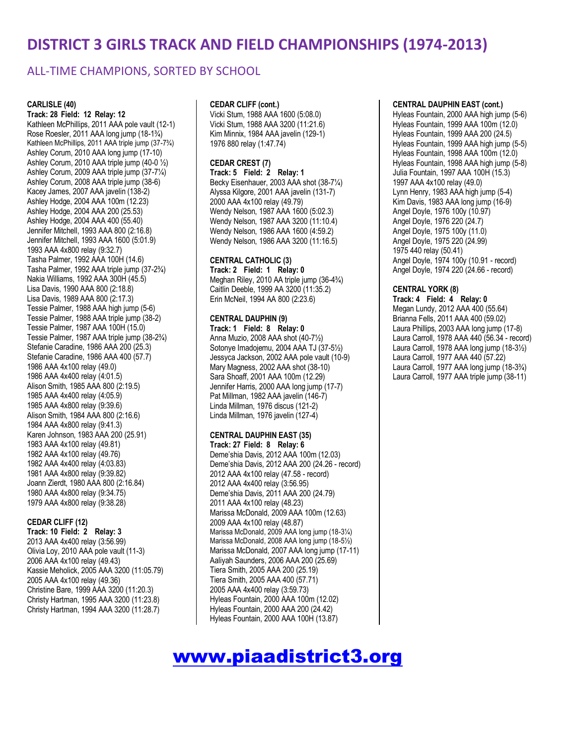### ALL-TIME CHAMPIONS, SORTED BY SCHOOL

#### **CARLISLE (40)**

**Track: 28 Field: 12 Relay: 12** Kathleen McPhillips, 2011 AAA pole vault (12-1) Rose Roesler, 2011 AAA long jump (18-1¾) Kathleen McPhillips, 2011 AAA triple jump (37-7¾) Ashley Corum, 2010 AAA long jump (17-10) Ashley Corum, 2010 AAA triple jump (40-0 ½) Ashley Corum, 2009 AAA triple jump (37-7¼) Ashley Corum, 2008 AAA triple jump (38-6) Kacey James, 2007 AAA javelin (138-2) Ashley Hodge, 2004 AAA 100m (12.23) Ashley Hodge, 2004 AAA 200 (25.53) Ashley Hodge, 2004 AAA 400 (55.40) Jennifer Mitchell, 1993 AAA 800 (2:16.8) Jennifer Mitchell, 1993 AAA 1600 (5:01.9) 1993 AAA 4x800 relay (9:32.7) Tasha Palmer, 1992 AAA 100H (14.6) Tasha Palmer, 1992 AAA triple jump (37-2¾) Nakia Williams, 1992 AAA 300H (45.5) Lisa Davis, 1990 AAA 800 (2:18.8) Lisa Davis, 1989 AAA 800 (2:17.3) Tessie Palmer, 1988 AAA high jump (5-6) Tessie Palmer, 1988 AAA triple jump (38-2) Tessie Palmer, 1987 AAA 100H (15.0) Tessie Palmer, 1987 AAA triple jump (38-2¾) Stefanie Caradine, 1986 AAA 200 (25.3) Stefanie Caradine, 1986 AAA 400 (57.7) 1986 AAA 4x100 relay (49.0) 1986 AAA 4x400 relay (4:01.5) Alison Smith, 1985 AAA 800 (2:19.5) 1985 AAA 4x400 relay (4:05.9) 1985 AAA 4x800 relay (9:39.6) Alison Smith, 1984 AAA 800 (2:16.6) 1984 AAA 4x800 relay (9:41.3) Karen Johnson, 1983 AAA 200 (25.91) 1983 AAA 4x100 relay (49.81) 1982 AAA 4x100 relay (49.76) 1982 AAA 4x400 relay (4:03.83) 1981 AAA 4x800 relay (9:39.82) Joann Zierdt, 1980 AAA 800 (2:16.84) 1980 AAA 4x800 relay (9:34.75) 1979 AAA 4x800 relay (9:38.28)

#### **CEDAR CLIFF (12)**

**Track: 10 Field: 2 Relay: 3** 2013 AAA 4x400 relay (3:56.99) Olivia Loy, 2010 AAA pole vault (11-3) 2006 AAA 4x100 relay (49.43) Kassie Meholick, 2005 AAA 3200 (11:05.79) 2005 AAA 4x100 relay (49.36) Christine Bare, 1999 AAA 3200 (11:20.3) Christy Hartman, 1995 AAA 3200 (11:23.8) Christy Hartman, 1994 AAA 3200 (11:28.7)

#### **CEDAR CLIFF (cont.)**

Vicki Stum, 1988 AAA 1600 (5:08.0) Vicki Stum, 1988 AAA 3200 (11:21.6) Kim Minnix, 1984 AAA javelin (129-1) 1976 880 relay (1:47.74)

#### **CEDAR CREST (7)**

**Track: 5 Field: 2 Relay: 1** Becky Eisenhauer, 2003 AAA shot (38-7¼) Alyssa Kilgore, 2001 AAA javelin (131-7) 2000 AAA 4x100 relay (49.79) Wendy Nelson, 1987 AAA 1600 (5:02.3) Wendy Nelson, 1987 AAA 3200 (11:10.4) Wendy Nelson, 1986 AAA 1600 (4:59.2) Wendy Nelson, 1986 AAA 3200 (11:16.5)

#### **CENTRAL CATHOLIC (3)**

**Track: 2 Field: 1 Relay: 0** Meghan Riley, 2010 AA triple jump (36-4¾) Caitlin Deeble, 1999 AA 3200 (11:35.2) Erin McNeil, 1994 AA 800 (2:23.6)

#### **CENTRAL DAUPHIN (9)**

**Track: 1 Field: 8 Relay: 0** Anna Muzio, 2008 AAA shot (40-7½) Sotonye Imadojemu, 2004 AAA TJ (37-5½) Jessyca Jackson, 2002 AAA pole vault (10-9) Mary Magness, 2002 AAA shot (38-10) Sara Shoaff, 2001 AAA 100m (12.29) Jennifer Harris, 2000 AAA long jump (17-7) Pat Millman, 1982 AAA javelin (146-7) Linda Millman, 1976 discus (121-2) Linda Millman, 1976 javelin (127-4)

#### **CENTRAL DAUPHIN EAST (35)**

**Track: 27 Field: 8 Relay: 6** Deme'shia Davis, 2012 AAA 100m (12.03) Deme'shia Davis, 2012 AAA 200 (24.26 - record) 2012 AAA 4x100 relay (47.58 - record) 2012 AAA 4x400 relay (3:56.95) Deme'shia Davis, 2011 AAA 200 (24.79) 2011 AAA 4x100 relay (48.23) Marissa McDonald, 2009 AAA 100m (12.63) 2009 AAA 4x100 relay (48.87) Marissa McDonald, 2009 AAA long jump (18-31⁄4) Marissa McDonald, 2008 AAA long jump (18-5½) Marissa McDonald, 2007 AAA long jump (17-11) Aaliyah Saunders, 2006 AAA 200 (25.69) Tiera Smith, 2005 AAA 200 (25.19) Tiera Smith, 2005 AAA 400 (57.71) 2005 AAA 4x400 relay (3:59.73) Hyleas Fountain, 2000 AAA 100m (12.02) Hyleas Fountain, 2000 AAA 200 (24.42) Hyleas Fountain, 2000 AAA 100H (13.87)

# www.piaadistrict3.org

#### **CENTRAL DAUPHIN EAST (cont.)**

Hyleas Fountain, 2000 AAA high jump (5-6) Hyleas Fountain, 1999 AAA 100m (12.0) Hyleas Fountain, 1999 AAA 200 (24.5) Hyleas Fountain, 1999 AAA high jump (5-5) Hyleas Fountain, 1998 AAA 100m (12.0) Hyleas Fountain, 1998 AAA high jump (5-8) Julia Fountain, 1997 AAA 100H (15.3) 1997 AAA 4x100 relay (49.0) Lynn Henry, 1983 AAA high jump (5-4) Kim Davis, 1983 AAA long jump (16-9) Angel Doyle, 1976 100y (10.97) Angel Doyle, 1976 220 (24.7) Angel Doyle, 1975 100y (11.0) Angel Doyle, 1975 220 (24.99) 1975 440 relay (50.41) Angel Doyle, 1974 100y (10.91 - record) Angel Doyle, 1974 220 (24.66 - record)

#### **CENTRAL YORK (8)**

**Track: 4 Field: 4 Relay: 0** Megan Lundy, 2012 AAA 400 (55.64) Brianna Fells, 2011 AAA 400 (59.02) Laura Phillips, 2003 AAA long jump (17-8) Laura Carroll, 1978 AAA 440 (56.34 - record) Laura Carroll, 1978 AAA long jump (18-3½) Laura Carroll, 1977 AAA 440 (57.22) Laura Carroll, 1977 AAA long jump (18-3¾) Laura Carroll, 1977 AAA triple jump (38-11)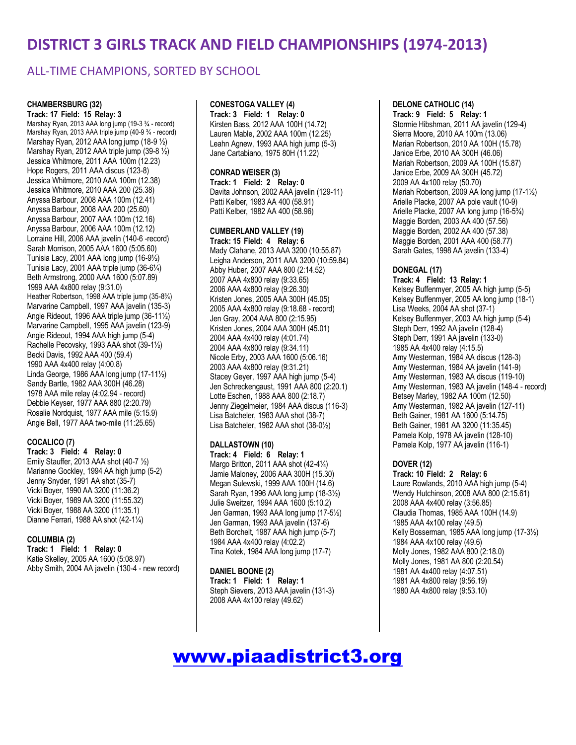### ALL-TIME CHAMPIONS, SORTED BY SCHOOL

### **CHAMBERSBURG (32)**

**Track: 17 Field: 15 Relay: 3** Marshay Ryan, 2013 AAA long jump (19-3 ¾ - record) Marshay Ryan, 2013 AAA triple jump (40-9 ¾ - record) Marshay Ryan, 2012 AAA long jump (18-9 ½) Marshay Ryan, 2012 AAA triple jump (39-8 ½) Jessica Whitmore, 2011 AAA 100m (12.23) Hope Rogers, 2011 AAA discus (123-8) Jessica Whitmore, 2010 AAA 100m (12.38) Jessica Whitmore, 2010 AAA 200 (25.38) Anyssa Barbour, 2008 AAA 100m (12.41) Anyssa Barbour, 2008 AAA 200 (25.60) Anyssa Barbour, 2007 AAA 100m (12.16) Anyssa Barbour, 2006 AAA 100m (12.12) Lorraine Hill, 2006 AAA javelin (140-6 -record) Sarah Morrison, 2005 AAA 1600 (5:05.60) Tunisia Lacy, 2001 AAA long jump (16-9½) Tunisia Lacy, 2001 AAA triple jump (36-6¼) Beth Armstrong, 2000 AAA 1600 (5:07.89) 1999 AAA 4x800 relay (9:31.0) Heather Robertson, 1998 AAA triple jump (35-8¾) Marvarine Campbell, 1997 AAA javelin (135-3) Angie Rideout, 1996 AAA triple jump (36-11½) Marvarine Campbell, 1995 AAA javelin (123-9) Angie Rideout, 1994 AAA high jump (5-4) Rachelle Pecovsky, 1993 AAA shot (39-1½) Becki Davis, 1992 AAA 400 (59.4) 1990 AAA 4x400 relay (4:00.8) Linda George, 1986 AAA long jump (17-11½) Sandy Bartle, 1982 AAA 300H (46.28) 1978 AAA mile relay (4:02.94 - record) Debbie Keyser, 1977 AAA 880 (2:20.79) Rosalie Nordquist, 1977 AAA mile (5:15.9) Angie Bell, 1977 AAA two-mile (11:25.65)

#### **COCALICO (7)**

**Track: 3 Field: 4 Relay: 0** Emily Stauffer, 2013 AAA shot (40-7 ½) Marianne Gockley, 1994 AA high jump (5-2) Jenny Snyder, 1991 AA shot (35-7) Vicki Boyer, 1990 AA 3200 (11:36.2) Vicki Boyer, 1989 AA 3200 (11:55.32) Vicki Boyer, 1988 AA 3200 (11:35.1) Dianne Ferrari, 1988 AA shot (42-1¼)

#### **COLUMBIA (2)**

**Track: 1 Field: 1 Relay: 0** Katie Skelley, 2005 AA 1600 (5:08.97) Abby Smith, 2004 AA javelin (130-4 - new record)

#### **CONESTOGA VALLEY (4)**

**Track: 3 Field: 1 Relay: 0** Kirsten Bass, 2012 AAA 100H (14.72) Lauren Mable, 2002 AAA 100m (12.25) Leahn Agnew, 1993 AAA high jump (5-3) Jane Cartabiano, 1975 80H (11.22)

#### **CONRAD WEISER (3)**

**Track: 1 Field: 2 Relay: 0** Davita Johnson, 2002 AAA javelin (129-11) Patti Kelber, 1983 AA 400 (58.91) Patti Kelber, 1982 AA 400 (58.96)

#### **CUMBERLAND VALLEY (19)**

**Track: 15 Field: 4 Relay: 6** Mady Clahane, 2013 AAA 3200 (10:55.87) Leigha Anderson, 2011 AAA 3200 (10:59.84) Abby Huber, 2007 AAA 800 (2:14.52) 2007 AAA 4x800 relay (9:33.65) 2006 AAA 4x800 relay (9:26.30) Kristen Jones, 2005 AAA 300H (45.05) 2005 AAA 4x800 relay (9:18.68 - record) Jen Gray, 2004 AAA 800 (2:15.95) Kristen Jones, 2004 AAA 300H (45.01) 2004 AAA 4x400 relay (4:01.74) 2004 AAA 4x800 relay (9:34.11) Nicole Erby, 2003 AAA 1600 (5:06.16) 2003 AAA 4x800 relay (9:31.21) Stacey Geyer, 1997 AAA high jump (5-4) Jen Schreckengaust, 1991 AAA 800 (2:20.1) Lotte Eschen, 1988 AAA 800 (2:18.7) Jenny Ziegelmeier, 1984 AAA discus (116-3) Lisa Batcheler, 1983 AAA shot (38-7) Lisa Batcheler, 1982 AAA shot (38-0½)

#### **DALLASTOWN (10)**

**Track: 4 Field: 6 Relay: 1** Margo Britton, 2011 AAA shot (42-4¼) Jamie Maloney, 2006 AAA 300H (15.30) Megan Sulewski, 1999 AAA 100H (14.6) Sarah Ryan, 1996 AAA long jump (18-3½) Julie Sweitzer, 1994 AAA 1600 (5:10.2) Jen Garman, 1993 AAA long jump (17-5½) Jen Garman, 1993 AAA javelin (137-6) Beth Borchelt, 1987 AAA high jump (5-7) 1984 AAA 4x400 relay (4:02.2) Tina Kotek, 1984 AAA long jump (17-7)

#### **DANIEL BOONE (2) Track: 1 Field: 1 Relay: 1** Steph Sievers, 2013 AAA javelin (131-3)

2008 AAA 4x100 relay (49.62)

### **DELONE CATHOLIC (14)**

**Track: 9 Field: 5 Relay: 1** Stormie Hibshman, 2011 AA javelin (129-4) Sierra Moore, 2010 AA 100m (13.06) Marian Robertson, 2010 AA 100H (15.78) Janice Erbe, 2010 AA 300H (46.06) Mariah Robertson, 2009 AA 100H (15.87) Janice Erbe, 2009 AA 300H (45.72) 2009 AA 4x100 relay (50.70) Mariah Robertson, 2009 AA long jump (17-1½) Arielle Placke, 2007 AA pole vault (10-9) Arielle Placke, 2007 AA long jump (16-5¾) Maggie Borden, 2003 AA 400 (57.56) Maggie Borden, 2002 AA 400 (57.38) Maggie Borden, 2001 AAA 400 (58.77) Sarah Gates, 1998 AA javelin (133-4)

#### **DONEGAL (17)**

**Track: 4 Field: 13 Relay: 1** Kelsey Buffenmyer, 2005 AA high jump (5-5) Kelsey Buffenmyer, 2005 AA long jump (18-1) Lisa Weeks, 2004 AA shot (37-1) Kelsey Buffenmyer, 2003 AA high jump (5-4) Steph Derr, 1992 AA javelin (128-4) Steph Derr, 1991 AA javelin (133-0) 1985 AA 4x400 relay (4:15.5) Amy Westerman, 1984 AA discus (128-3) Amy Westerman, 1984 AA javelin (141-9) Amy Westerman, 1983 AA discus (119-10) Amy Westerman, 1983 AA javelin (148-4 - record) Betsey Marley, 1982 AA 100m (12.50) Amy Westerman, 1982 AA javelin (127-11) Beth Gainer, 1981 AA 1600 (5:14.75) Beth Gainer, 1981 AA 3200 (11:35.45) Pamela Kolp, 1978 AA javelin (128-10) Pamela Kolp, 1977 AA javelin (116-1)

#### **DOVER (12)**

**Track: 10 Field: 2 Relay: 6** Laure Rowlands, 2010 AAA high jump (5-4) Wendy Hutchinson, 2008 AAA 800 (2:15.61) 2008 AAA 4x400 relay (3:56.85) Claudia Thomas, 1985 AAA 100H (14.9) 1985 AAA 4x100 relay (49.5) Kelly Bosserman, 1985 AAA long jump (17-3½) 1984 AAA 4x100 relay (49.6) Molly Jones, 1982 AAA 800 (2:18.0) Molly Jones, 1981 AA 800 (2:20.54) 1981 AA 4x400 relay (4:07.51) 1981 AA 4x800 relay (9:56.19) 1980 AA 4x800 relay (9:53.10)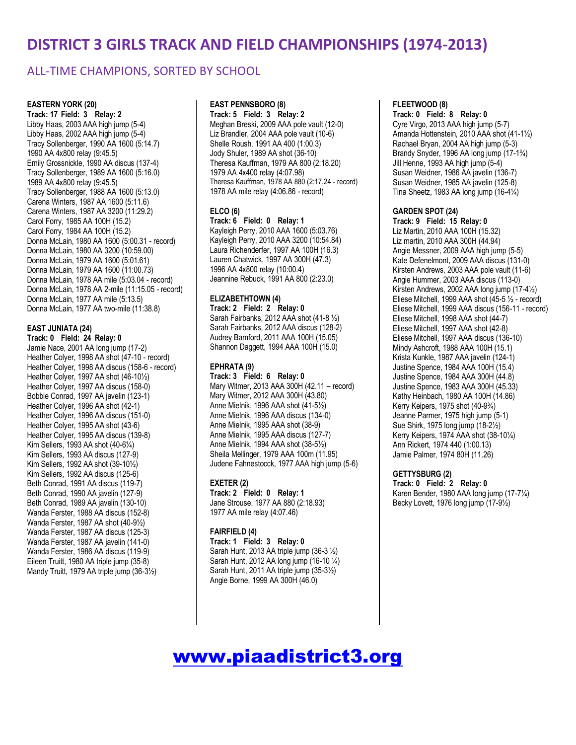### ALL-TIME CHAMPIONS, SORTED BY SCHOOL

#### **EASTERN YORK (20)**

**Track: 17 Field: 3 Relay: 2** Libby Haas, 2003 AAA high jump (5-4) Libby Haas, 2002 AAA high jump (5-4) Tracy Sollenberger, 1990 AA 1600 (5:14.7) 1990 AA 4x800 relay (9:45.5) Emily Grossnickle, 1990 AA discus (137-4) Tracy Sollenberger, 1989 AA 1600 (5:16.0) 1989 AA 4x800 relay (9:45.5) Tracy Sollenberger, 1988 AA 1600 (5:13.0) Carena Winters, 1987 AA 1600 (5:11.6) Carena Winters, 1987 AA 3200 (11:29.2) Carol Forry, 1985 AA 100H (15.2) Carol Forry, 1984 AA 100H (15.2) Donna McLain, 1980 AA 1600 (5:00.31 - record) Donna McLain, 1980 AA 3200 (10:59.00) Donna McLain, 1979 AA 1600 (5:01.61) Donna McLain, 1979 AA 1600 (11:00.73) Donna McLain, 1978 AA mile (5:03.04 - record) Donna McLain, 1978 AA 2-mile (11:15.05 - record) Donna McLain, 1977 AA mile (5:13.5) Donna McLain, 1977 AA two-mile (11:38.8)

#### **EAST JUNIATA (24)**

**Track: 0 Field: 24 Relay: 0** Jamie Nace, 2001 AA long jump (17-2) Heather Colyer, 1998 AA shot (47-10 - record) Heather Colyer, 1998 AA discus (158-6 - record) Heather Colyer, 1997 AA shot (46-10½) Heather Colyer, 1997 AA discus (158-0) Bobbie Conrad, 1997 AA javelin (123-1) Heather Colyer, 1996 AA shot (42-1) Heather Colyer, 1996 AA discus (151-0) Heather Colyer, 1995 AA shot (43-6) Heather Colyer, 1995 AA discus (139-8) Kim Sellers, 1993 AA shot (40-6¼) Kim Sellers, 1993 AA discus (127-9) Kim Sellers, 1992 AA shot (39-10½) Kim Sellers, 1992 AA discus (125-6) Beth Conrad, 1991 AA discus (119-7) Beth Conrad, 1990 AA javelin (127-9) Beth Conrad, 1989 AA javelin (130-10) Wanda Ferster, 1988 AA discus (152-8) Wanda Ferster, 1987 AA shot (40-9½) Wanda Ferster, 1987 AA discus (125-3) Wanda Ferster, 1987 AA javelin (141-0) Wanda Ferster, 1986 AA discus (119-9) Eileen Truitt, 1980 AA triple jump (35-8) Mandy Truitt, 1979 AA triple jump (36-3½)

#### **EAST PENNSBORO (8)**

**Track: 5 Field: 3 Relay: 2** Meghan Breski, 2009 AAA pole vault (12-0) Liz Brandler, 2004 AAA pole vault (10-6) Shelle Roush, 1991 AA 400 (1:00.3) Jody Shuler, 1989 AA shot (36-10) Theresa Kauffman, 1979 AA 800 (2:18.20) 1979 AA 4x400 relay (4:07.98) Theresa Kauffman, 1978 AA 880 (2:17.24 - record) 1978 AA mile relay (4:06.86 - record)

#### **ELCO (6)**

**Track: 6 Field: 0 Relay: 1** Kayleigh Perry, 2010 AAA 1600 (5:03.76) Kayleigh Perry, 2010 AAA 3200 (10:54.84) Laura Richenderfer, 1997 AA 100H (16.3) Lauren Chatwick, 1997 AA 300H (47.3) 1996 AA 4x800 relay (10:00.4) Jeannine Rebuck, 1991 AA 800 (2:23.0)

#### **ELIZABETHTOWN (4)**

**Track: 2 Field: 2 Relay: 0** Sarah Fairbanks, 2012 AAA shot (41-8 ½) Sarah Fairbanks, 2012 AAA discus (128-2) Audrey Bamford, 2011 AAA 100H (15.05) Shannon Daggett, 1994 AAA 100H (15.0)

#### **EPHRATA (9)**

**Track: 3 Field: 6 Relay: 0** Mary Witmer, 2013 AAA 300H (42.11 – record) Mary Witmer, 2012 AAA 300H (43.80) Anne Mielnik, 1996 AAA shot (41-5½) Anne Mielnik, 1996 AAA discus (134-0) Anne Mielnik, 1995 AAA shot (38-9) Anne Mielnik, 1995 AAA discus (127-7) Anne Mielnik, 1994 AAA shot (38-5½) Sheila Mellinger, 1979 AAA 100m (11.95) Judene Fahnestocck, 1977 AAA high jump (5-6)

#### **EXETER (2)**

**Track: 2 Field: 0 Relay: 1** Jane Strouse, 1977 AA 880 (2:18.93) 1977 AA mile relay (4:07.46)

#### **FAIRFIELD (4)**

**Track: 1 Field: 3 Relay: 0** Sarah Hunt, 2013 AA triple jump (36-3 ½) Sarah Hunt, 2012 AA long jump (16-10 ¼) Sarah Hunt, 2011 AA triple jump (35-3½) Angie Borne, 1999 AA 300H (46.0)

### **FLEETWOOD (8)**

### **Track: 0 Field: 8 Relay: 0**

Cyre Virgo, 2013 AAA high jump (5-7) Amanda Hottenstein, 2010 AAA shot (41-1½) Rachael Bryan, 2004 AA high jump (5-3) Brandy Snyder, 1996 AA long jump (17-1¾) Jill Henne, 1993 AA high jump (5-4) Susan Weidner, 1986 AA javelin (136-7) Susan Weidner, 1985 AA javelin (125-8) Tina Sheetz, 1983 AA long jump (16-4¼)

#### **GARDEN SPOT (24)**

**Track: 9 Field: 15 Relay: 0** Liz Martin, 2010 AAA 100H (15.32) Liz martin, 2010 AAA 300H (44.94) Angie Messner, 2009 AAA high jump (5-5) Kate Defenelmont, 2009 AAA discus (131-0) Kirsten Andrews, 2003 AAA pole vault (11-6) Angie Hummer, 2003 AAA discus (113-0) Kirsten Andrews, 2002 AAA long jump (17-4½) Eliese Mitchell, 1999 AAA shot (45-5 ½ - record) Eliese Mitchell, 1999 AAA discus (156-11 - record) Eliese Mitchell, 1998 AAA shot (44-7) Eliese Mitchell, 1997 AAA shot (42-8) Eliese Mitchell, 1997 AAA discus (136-10) Mindy Ashcroft, 1988 AAA 100H (15.1) Krista Kunkle, 1987 AAA javelin (124-1) Justine Spence, 1984 AAA 100H (15.4) Justine Spence, 1984 AAA 300H (44.8) Justine Spence, 1983 AAA 300H (45.33) Kathy Heinbach, 1980 AA 100H (14.86) Kerry Keipers, 1975 shot (40-9¾) Jeanne Parmer, 1975 high jump (5-1) Sue Shirk, 1975 long jump (18-2½) Kerry Keipers, 1974 AAA shot (38-10¼) Ann Rickert, 1974 440 (1:00.13) Jamie Palmer, 1974 80H (11.26)

#### **GETTYSBURG (2)**

**Track: 0 Field: 2 Relay: 0** Karen Bender, 1980 AAA long jump (17-7¼) Becky Lovett, 1976 long jump (17-9½)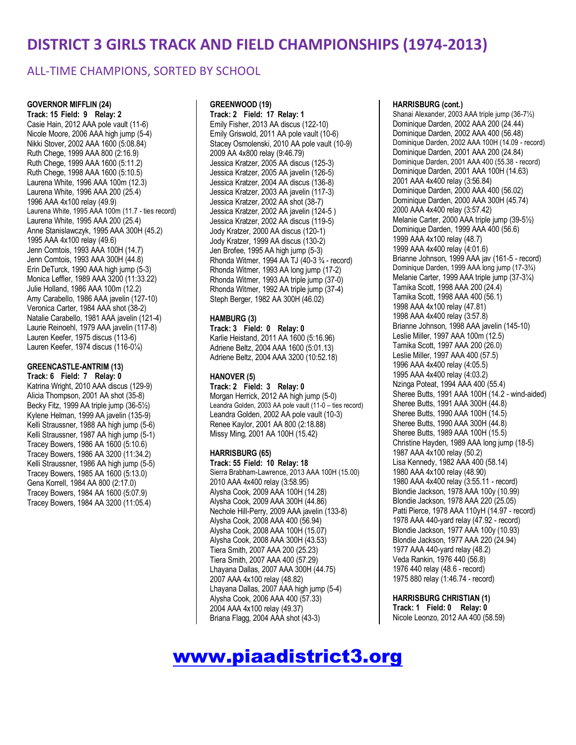### ALL-TIME CHAMPIONS, SORTED BY SCHOOL

**GOVERNOR MIFFLIN (24) Track: 15 Field: 9 Relay: 2** Casie Hain, 2012 AAA pole vault (11-6) Nicole Moore, 2006 AAA high jump (5-4) Nikki Stover, 2002 AAA 1600 (5:08.84) Ruth Chege, 1999 AAA 800 (2:16.9) Ruth Chege, 1999 AAA 1600 (5:11.2) Ruth Chege, 1998 AAA 1600 (5:10.5) Laurena White, 1996 AAA 100m (12.3) Laurena White, 1996 AAA 200 (25.4) 1996 AAA 4x100 relay (49.9) Laurena White, 1995 AAA 100m (11.7 - ties record) Laurena White, 1995 AAA 200 (25.4) Anne Stanislawczyk, 1995 AAA 300H (45.2) 1995 AAA 4x100 relay (49.6) Jenn Comtois, 1993 AAA 100H (14.7) Jenn Comtois, 1993 AAA 300H (44.8) Erin DeTurck, 1990 AAA high jump (5-3) Monica Leffler, 1989 AAA 3200 (11:33.22) Julie Holland, 1986 AAA 100m (12.2) Amy Carabello, 1986 AAA javelin (127-10) Veronica Carter, 1984 AAA shot (38-2) Natalie Carabello, 1981 AAA javelin (121-4) Laurie Reinoehl, 1979 AAA javelin (117-8) Lauren Keefer, 1975 discus (113-6) Lauren Keefer, 1974 discus (116-0¼)

#### **GREENCASTLE-ANTRIM (13)**

**Track: 6 Field: 7 Relay: 0** Katrina Wright, 2010 AAA discus (129-9) Alicia Thompson, 2001 AA shot (35-8) Becky Fitz, 1999 AA triple jump (36-5½) Kylene Helman, 1999 AA javelin (135-9) Kelli Straussner, 1988 AA high jump (5-6) Kelli Straussner, 1987 AA high jump (5-1) Tracey Bowers, 1986 AA 1600 (5:10.6) Tracey Bowers, 1986 AA 3200 (11:34.2) Kelli Straussner, 1986 AA high jump (5-5) Tracey Bowers, 1985 AA 1600 (5:13.0) Gena Korrell, 1984 AA 800 (2:17.0) Tracey Bowers, 1984 AA 1600 (5:07.9) Tracey Bowers, 1984 AA 3200 (11:05.4)

#### **GREENWOOD (19)**

**Track: 2 Field: 17 Relay: 1** Emily Fisher, 2013 AA discus (122-10) Emily Griswold, 2011 AA pole vault (10-6) Stacey Osmolenski, 2010 AA pole vault (10-9) 2009 AA 4x800 relay (9:46.79) Jessica Kratzer, 2005 AA discus (125-3) Jessica Kratzer, 2005 AA javelin (126-5) Jessica Kratzer, 2004 AA discus (136-8) Jessica Kratzer, 2003 AA javelin (117-3) Jessica Kratzer, 2002 AA shot (38-7) Jessica Kratzer, 2002 AA javelin (124-5 ) Jessica Kratzer, 2002 AA discus (119-5) Jody Kratzer, 2000 AA discus (120-1) Jody Kratzer, 1999 AA discus (130-2) Jen Brofee, 1995 AA high jump (5-3) Rhonda Witmer, 1994 AA TJ (40-3 ¾ - record) Rhonda Witmer, 1993 AA long jump (17-2) Rhonda Witmer, 1993 AA triple jump (37-0) Rhonda Witmer, 1992 AA triple jump (37-4) Steph Berger, 1982 AA 300H (46.02)

#### **HAMBURG (3)**

**Track: 3 Field: 0 Relay: 0** Karlie Heistand, 2011 AA 1600 (5:16.96) Adriene Beltz, 2004 AAA 1600 (5:01.13) Adriene Beltz, 2004 AAA 3200 (10:52.18)

### **HANOVER (5)**

**Track: 2 Field: 3 Relay: 0** Morgan Herrick, 2012 AA high jump (5-0) Leandra Golden, 2003 AA pole vault (11-0 – ties record) Leandra Golden, 2002 AA pole vault (10-3) Renee Kaylor, 2001 AA 800 (2:18.88) Missy Ming, 2001 AA 100H (15.42)

#### **HARRISBURG (65)**

**Track: 55 Field: 10 Relay: 18** Sierra Brabham-Lawrence, 2013 AAA 100H (15.00) 2010 AAA 4x400 relay (3:58.95) Alysha Cook, 2009 AAA 100H (14.28) Alysha Cook, 2009 AAA 300H (44.86) Nechole Hill-Perry, 2009 AAA javelin (133-8) Alysha Cook, 2008 AAA 400 (56.94) Alysha Cook, 2008 AAA 100H (15.07) Alysha Cook, 2008 AAA 300H (43.53) Tiera Smith, 2007 AAA 200 (25.23) Tiera Smith, 2007 AAA 400 (57.29) Lhayana Dallas, 2007 AAA 300H (44.75) 2007 AAA 4x100 relay (48.82) Lhayana Dallas, 2007 AAA high jump (5-4) Alysha Cook, 2006 AAA 400 (57.33) 2004 AAA 4x100 relay (49.37) Briana Flagg, 2004 AAA shot (43-3)

#### **HARRISBURG (cont.)**

Shanai Alexander, 2003 AAA triple jump (36-7½) Dominique Darden, 2002 AAA 200 (24.44) Dominique Darden, 2002 AAA 400 (56.48) Dominique Darden, 2002 AAA 100H (14.09 - record) Dominique Darden, 2001 AAA 200 (24.84) Dominique Darden, 2001 AAA 400 (55.38 - record) Dominique Darden, 2001 AAA 100H (14.63) 2001 AAA 4x400 relay (3:56.84) Dominique Darden, 2000 AAA 400 (56.02) Dominique Darden, 2000 AAA 300H (45.74) 2000 AAA 4x400 relay (3:57.42) Melanie Carter, 2000 AAA triple jump (39-5½) Dominique Darden, 1999 AAA 400 (56.6) 1999 AAA 4x100 relay (48.7) 1999 AAA 4x400 relay (4:01.6) Brianne Johnson, 1999 AAA jav (161-5 - record) Dominique Darden, 1999 AAA long jump (17-3¾) Melanie Carter, 1999 AAA triple jump (37-3¼) Tamika Scott, 1998 AAA 200 (24.4) Tamika Scott, 1998 AAA 400 (56.1) 1998 AAA 4x100 relay (47.81) 1998 AAA 4x400 relay (3:57.8) Brianne Johnson, 1998 AAA javelin (145-10) Leslie Miller, 1997 AAA 100m (12.5) Tamika Scott, 1997 AAA 200 (26.0) Leslie Miller, 1997 AAA 400 (57.5) 1996 AAA 4x400 relay (4:05.5) 1995 AAA 4x400 relay (4:03.2) Nzinga Poteat, 1994 AAA 400 (55.4) Sheree Butts, 1991 AAA 100H (14.2 - wind-aided) Sheree Butts, 1991 AAA 300H (44.8) Sheree Butts, 1990 AAA 100H (14.5) Sheree Butts, 1990 AAA 300H (44.8) Sheree Butts, 1989 AAA 100H (15.5) Christine Hayden, 1989 AAA long jump (18-5) 1987 AAA 4x100 relay (50.2) Lisa Kennedy, 1982 AAA 400 (58.14) 1980 AAA 4x100 relay (48.90) 1980 AAA 4x400 relay (3:55.11 - record) Blondie Jackson, 1978 AAA 100y (10.99) Blondie Jackson, 1978 AAA 220 (25.05) Patti Pierce, 1978 AAA 110yH (14.97 - record) 1978 AAA 440-yard relay (47.92 - record) Blondie Jackson, 1977 AAA 100y (10.93) Blondie Jackson, 1977 AAA 220 (24.94) 1977 AAA 440-yard relay (48.2) Veda Rankin, 1976 440 (56.8) 1976 440 relay (48.6 - record) 1975 880 relay (1:46.74 - record)

### **HARRISBURG CHRISTIAN (1)**

**Track: 1 Field: 0 Relay: 0** Nicole Leonzo, 2012 AA 400 (58.59)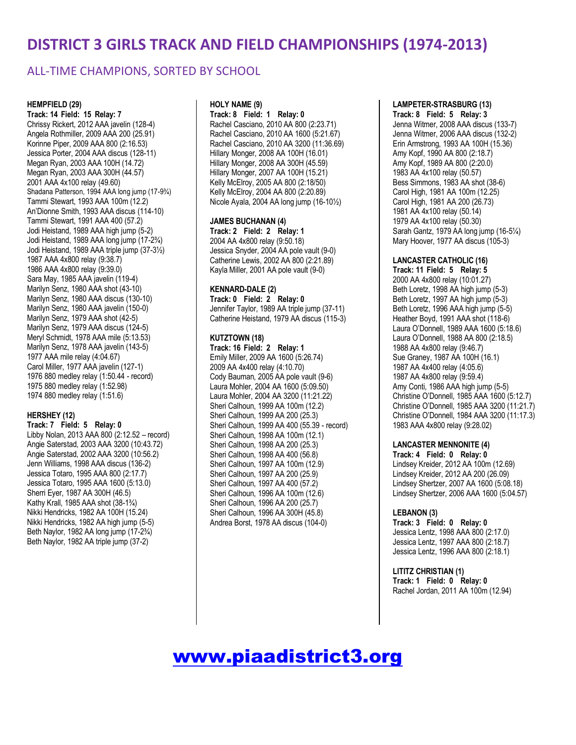### ALL-TIME CHAMPIONS, SORTED BY SCHOOL

#### **HEMPFIELD (29)**

**Track: 14 Field: 15 Relay: 7** Chrissy Rickert, 2012 AAA javelin (128-4) Angela Rothmiller, 2009 AAA 200 (25.91) Korinne Piper, 2009 AAA 800 (2:16.53) Jessica Porter, 2004 AAA discus (128-11) Megan Ryan, 2003 AAA 100H (14.72) Megan Ryan, 2003 AAA 300H (44.57) 2001 AAA 4x100 relay (49.60) Shadana Patterson, 1994 AAA long jump (17-9¾) Tammi Stewart, 1993 AAA 100m (12.2) An'Dionne Smith, 1993 AAA discus (114-10) Tammi Stewart, 1991 AAA 400 (57.2) Jodi Heistand, 1989 AAA high jump (5-2) Jodi Heistand, 1989 AAA long jump (17-2¾) Jodi Heistand, 1989 AAA triple jump (37-3½) 1987 AAA 4x800 relay (9:38.7) 1986 AAA 4x800 relay (9:39.0) Sara May, 1985 AAA javelin (119-4) Marilyn Senz, 1980 AAA shot (43-10) Marilyn Senz, 1980 AAA discus (130-10) Marilyn Senz, 1980 AAA javelin (150-0) Marilyn Senz, 1979 AAA shot (42-5) Marilyn Senz, 1979 AAA discus (124-5) Meryl Schmidt, 1978 AAA mile (5:13.53) Marilyn Senz, 1978 AAA javelin (143-5) 1977 AAA mile relay (4:04.67) Carol Miller, 1977 AAA javelin (127-1) 1976 880 medley relay (1:50.44 - record) 1975 880 medley relay (1:52.98) 1974 880 medley relay (1:51.6)

#### **HERSHEY (12)**

**Track: 7 Field: 5 Relay: 0** Libby Nolan, 2013 AAA 800 (2:12.52 – record) Angie Saterstad, 2003 AAA 3200 (10:43.72) Angie Saterstad, 2002 AAA 3200 (10:56.2) Jenn Williams, 1998 AAA discus (136-2) Jessica Totaro, 1995 AAA 800 (2:17.7) Jessica Totaro, 1995 AAA 1600 (5:13.0) Sherri Eyer, 1987 AA 300H (46.5) Kathy Krall, 1985 AAA shot (38-1¾) Nikki Hendricks, 1982 AA 100H (15.24) Nikki Hendricks, 1982 AA high jump (5-5) Beth Naylor, 1982 AA long jump (17-2¾) Beth Naylor, 1982 AA triple jump (37-2)

#### **HOLY NAME (9)**

**Track: 8 Field: 1 Relay: 0** Rachel Casciano, 2010 AA 800 (2:23.71) Rachel Casciano, 2010 AA 1600 (5:21.67) Rachel Casciano, 2010 AA 3200 (11:36.69) Hillary Monger, 2008 AA 100H (16.01) Hillary Monger, 2008 AA 300H (45.59) Hillary Monger, 2007 AA 100H (15.21) Kelly McElroy, 2005 AA 800 (2:18/50) Kelly McElroy, 2004 AA 800 (2:20.89) Nicole Ayala, 2004 AA long jump (16-10½)

#### **JAMES BUCHANAN (4)**

**Track: 2 Field: 2 Relay: 1** 2004 AA 4x800 relay (9:50.18) Jessica Snyder, 2004 AA pole vault (9-0) Catherine Lewis, 2002 AA 800 (2:21.89) Kayla Miller, 2001 AA pole vault (9-0)

#### **KENNARD-DALE (2)**

**Track: 0 Field: 2 Relay: 0** Jennifer Taylor, 1989 AA triple jump (37-11) Catherine Heistand, 1979 AA discus (115-3)

#### **KUTZTOWN (18)**

**Track: 16 Field: 2 Relay: 1** Emily Miller, 2009 AA 1600 (5:26.74) 2009 AA 4x400 relay (4:10.70) Cody Bauman, 2005 AA pole vault (9-6) Laura Mohler, 2004 AA 1600 (5:09.50) Laura Mohler, 2004 AA 3200 (11:21.22) Sheri Calhoun, 1999 AA 100m (12.2) Sheri Calhoun, 1999 AA 200 (25.3) Sheri Calhoun, 1999 AA 400 (55.39 - record) Sheri Calhoun, 1998 AA 100m (12.1) Sheri Calhoun, 1998 AA 200 (25.3) Sheri Calhoun, 1998 AA 400 (56.8) Sheri Calhoun, 1997 AA 100m (12.9) Sheri Calhoun, 1997 AA 200 (25.9) Sheri Calhoun, 1997 AA 400 (57.2) Sheri Calhoun, 1996 AA 100m (12.6) Sheri Calhoun, 1996 AA 200 (25.7) Sheri Calhoun, 1996 AA 300H (45.8) Andrea Borst, 1978 AA discus (104-0)

#### **LAMPETER-STRASBURG (13)**

**Track: 8 Field: 5 Relay: 3** Jenna Witmer, 2008 AAA discus (133-7) Jenna Witmer, 2006 AAA discus (132-2) Erin Armstrong, 1993 AA 100H (15.36) Amy Kopf, 1990 AA 800 (2:18.7) Amy Kopf, 1989 AA 800 (2:20.0) 1983 AA 4x100 relay (50.57) Bess Simmons, 1983 AA shot (38-6) Carol High, 1981 AA 100m (12.25) Carol High, 1981 AA 200 (26.73) 1981 AA 4x100 relay (50.14) 1979 AA 4x100 relay (50.30) Sarah Gantz, 1979 AA long jump (16-5¼) Mary Hoover, 1977 AA discus (105-3)

#### **LANCASTER CATHOLIC (16)**

**Track: 11 Field: 5 Relay: 5** 2000 AA 4x800 relay (10:01.27) Beth Loretz, 1998 AA high jump (5-3) Beth Loretz, 1997 AA high jump (5-3) Beth Loretz, 1996 AAA high jump (5-5) Heather Boyd, 1991 AAA shot (118-6) Laura O'Donnell, 1989 AAA 1600 (5:18.6) Laura O'Donnell, 1988 AA 800 (2:18.5) 1988 AA 4x800 relay (9:46.7) Sue Graney, 1987 AA 100H (16.1) 1987 AA 4x400 relay (4:05.6) 1987 AA 4x800 relay (9:59.4) Amy Conti, 1986 AAA high jump (5-5) Christine O'Donnell, 1985 AAA 1600 (5:12.7) Christine O'Donnell, 1985 AAA 3200 (11:21.7) Christine O'Donnell, 1984 AAA 3200 (11:17.3) 1983 AAA 4x800 relay (9:28.02)

#### **LANCASTER MENNONITE (4)**

**Track: 4 Field: 0 Relay: 0** Lindsey Kreider, 2012 AA 100m (12.69) Lindsey Kreider, 2012 AA 200 (26.09) Lindsey Shertzer, 2007 AA 1600 (5:08.18) Lindsey Shertzer, 2006 AAA 1600 (5:04.57)

#### **LEBANON (3)**

**Track: 3 Field: 0 Relay: 0** Jessica Lentz, 1998 AAA 800 (2:17.0) Jessica Lentz, 1997 AAA 800 (2:18.7) Jessica Lentz, 1996 AAA 800 (2:18.1)

**LITITZ CHRISTIAN (1) Track: 1 Field: 0 Relay: 0** Rachel Jordan, 2011 AA 100m (12.94)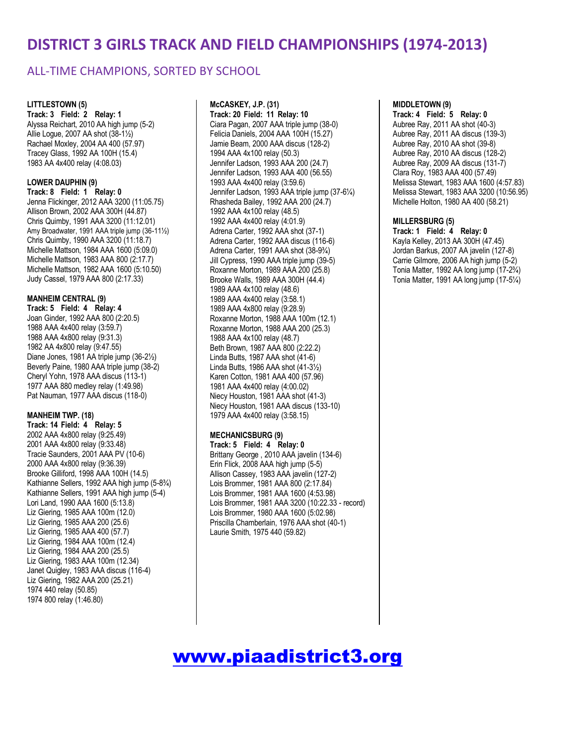### ALL-TIME CHAMPIONS, SORTED BY SCHOOL

#### **LITTLESTOWN (5)**

**Track: 3 Field: 2 Relay: 1** Alyssa Reichart, 2010 AA high jump (5-2) Allie Logue, 2007 AA shot (38-1½) Rachael Moxley, 2004 AA 400 (57.97) Tracey Glass, 1992 AA 100H (15.4) 1983 AA 4x400 relay (4:08.03)

#### **LOWER DAUPHIN (9)**

**Track: 8 Field: 1 Relay: 0** Jenna Flickinger, 2012 AAA 3200 (11:05.75) Allison Brown, 2002 AAA 300H (44.87) Chris Quimby, 1991 AAA 3200 (11:12.01) Amy Broadwater, 1991 AAA triple jump (36-11½) Chris Quimby, 1990 AAA 3200 (11:18.7) Michelle Mattson, 1984 AAA 1600 (5:09.0) Michelle Mattson, 1983 AAA 800 (2:17.7) Michelle Mattson, 1982 AAA 1600 (5:10.50) Judy Cassel, 1979 AAA 800 (2:17.33)

#### **MANHEIM CENTRAL (9)**

**Track: 5 Field: 4 Relay: 4** Joan Ginder, 1992 AAA 800 (2:20.5) 1988 AAA 4x400 relay (3:59.7) 1988 AAA 4x800 relay (9:31.3) 1982 AA 4x800 relay (9:47.55) Diane Jones, 1981 AA triple jump (36-2½) Beverly Paine, 1980 AAA triple jump (38-2) Cheryl Yohn, 1978 AAA discus (113-1) 1977 AAA 880 medley relay (1:49.98) Pat Nauman, 1977 AAA discus (118-0)

#### **MANHEIM TWP. (18)**

**Track: 14 Field: 4 Relay: 5** 2002 AAA 4x800 relay (9:25.49) 2001 AAA 4x800 relay (9:33.48) Tracie Saunders, 2001 AAA PV (10-6) 2000 AAA 4x800 relay (9:36.39) Brooke Gilliford, 1998 AAA 100H (14.5) Kathianne Sellers, 1992 AAA high jump (5-8¾) Kathianne Sellers, 1991 AAA high jump (5-4) Lori Land, 1990 AAA 1600 (5:13.8) Liz Giering, 1985 AAA 100m (12.0) Liz Giering, 1985 AAA 200 (25.6) Liz Giering, 1985 AAA 400 (57.7) Liz Giering, 1984 AAA 100m (12.4) Liz Giering, 1984 AAA 200 (25.5) Liz Giering, 1983 AAA 100m (12.34) Janet Quigley, 1983 AAA discus (116-4) Liz Giering, 1982 AAA 200 (25.21) 1974 440 relay (50.85) 1974 800 relay (1:46.80)

#### **McCASKEY, J.P. (31)**

**Track: 20 Field: 11 Relay: 10** Ciara Pagan, 2007 AAA triple jump (38-0) Felicia Daniels, 2004 AAA 100H (15.27) Jamie Beam, 2000 AAA discus (128-2) 1994 AAA 4x100 relay (50.3) Jennifer Ladson, 1993 AAA 200 (24.7) Jennifer Ladson, 1993 AAA 400 (56.55) 1993 AAA 4x400 relay (3:59.6) Jennifer Ladson, 1993 AAA triple jump (37-6¼) Rhasheda Bailey, 1992 AAA 200 (24.7) 1992 AAA 4x100 relay (48.5) 1992 AAA 4x400 relay (4:01.9) Adrena Carter, 1992 AAA shot (37-1) Adrena Carter, 1992 AAA discus (116-6) Adrena Carter, 1991 AAA shot (38-9¾) Jill Cypress, 1990 AAA triple jump (39-5) Roxanne Morton, 1989 AAA 200 (25.8) Brooke Walls, 1989 AAA 300H (44.4) 1989 AAA 4x100 relay (48.6) 1989 AAA 4x400 relay (3:58.1) 1989 AAA 4x800 relay (9:28.9) Roxanne Morton, 1988 AAA 100m (12.1) Roxanne Morton, 1988 AAA 200 (25.3) 1988 AAA 4x100 relay (48.7) Beth Brown, 1987 AAA 800 (2:22.2) Linda Butts, 1987 AAA shot (41-6) Linda Butts, 1986 AAA shot (41-3½) Karen Cotton, 1981 AAA 400 (57.96) 1981 AAA 4x400 relay (4:00.02) Niecy Houston, 1981 AAA shot (41-3) Niecy Houston, 1981 AAA discus (133-10) 1979 AAA 4x400 relay (3:58.15)

#### **MECHANICSBURG (9)**

**Track: 5 Field: 4 Relay: 0** Brittany George , 2010 AAA javelin (134-6) Erin Flick, 2008 AAA high jump (5-5) Allison Cassey, 1983 AAA javelin (127-2) Lois Brommer, 1981 AAA 800 (2:17.84) Lois Brommer, 1981 AAA 1600 (4:53.98) Lois Brommer, 1981 AAA 3200 (10:22.33 - record) Lois Brommer, 1980 AAA 1600 (5:02.98) Priscilla Chamberlain, 1976 AAA shot (40-1) Laurie Smith, 1975 440 (59.82)

#### **MIDDLETOWN (9)**

**Track: 4 Field: 5 Relay: 0** Aubree Ray, 2011 AA shot (40-3) Aubree Ray, 2011 AA discus (139-3) Aubree Ray, 2010 AA shot (39-8) Aubree Ray, 2010 AA discus (128-2) Aubree Ray, 2009 AA discus (131-7) Clara Roy, 1983 AAA 400 (57.49) Melissa Stewart, 1983 AAA 1600 (4:57.83) Melissa Stewart, 1983 AAA 3200 (10:56.95) Michelle Holton, 1980 AA 400 (58.21)

#### **MILLERSBURG (5)**

**Track: 1 Field: 4 Relay: 0** Kayla Kelley, 2013 AA 300H (47.45) Jordan Barkus, 2007 AA javelin (127-8) Carrie Gilmore, 2006 AA high jump (5-2) Tonia Matter, 1992 AA long jump (17-2¾) Tonia Matter, 1991 AA long jump (17-5¼)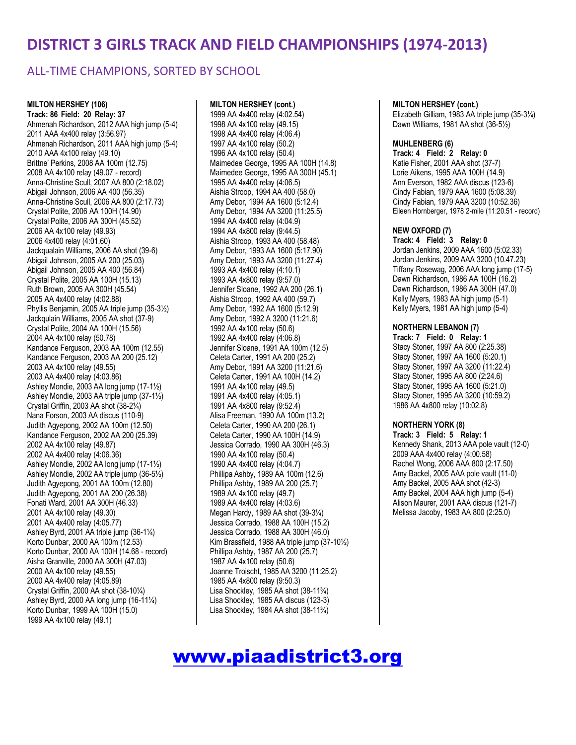### ALL-TIME CHAMPIONS, SORTED BY SCHOOL

**MILTON HERSHEY (106) Track: 86 Field: 20 Relay: 37** Ahmenah Richardson, 2012 AAA high jump (5-4) 2011 AAA 4x400 relay (3:56.97) Ahmenah Richardson, 2011 AAA high jump (5-4) 2010 AAA 4x100 relay (49.10) Brittne' Perkins, 2008 AA 100m (12.75) 2008 AA 4x100 relay (49.07 - record) Anna-Christine Scull, 2007 AA 800 (2:18.02) Abigail Johnson, 2006 AA 400 (56.35) Anna-Christine Scull, 2006 AA 800 (2:17.73) Crystal Polite, 2006 AA 100H (14.90) Crystal Polite, 2006 AA 300H (45.52) 2006 AA 4x100 relay (49.93) 2006 4x400 relay (4:01.60) Jackqualain Williams, 2006 AA shot (39-6) Abigail Johnson, 2005 AA 200 (25.03) Abigail Johnson, 2005 AA 400 (56.84) Crystal Polite, 2005 AA 100H (15.13) Ruth Brown, 2005 AA 300H (45.54) 2005 AA 4x400 relay (4:02.88) Phyllis Benjamin, 2005 AA triple jump (35-3½) Jackqulain Williams, 2005 AA shot (37-9) Crystal Polite, 2004 AA 100H (15.56) 2004 AA 4x100 relay (50.78) Kandance Ferguson, 2003 AA 100m (12.55) Kandance Ferguson, 2003 AA 200 (25.12) 2003 AA 4x100 relay (49.55) 2003 AA 4x400 relay (4:03.86) Ashley Mondie, 2003 AA long jump (17-1½) Ashley Mondie, 2003 AA triple jump (37-1½) Crystal Griffin, 2003 AA shot (38-2¼) Nana Forson, 2003 AA discus (110-9) Judith Agyepong, 2002 AA 100m (12.50) Kandance Ferguson, 2002 AA 200 (25.39) 2002 AA 4x100 relay (49.87) 2002 AA 4x400 relay (4:06.36) Ashley Mondie, 2002 AA long jump (17-1½) Ashley Mondie, 2002 AA triple jump (36-5½) Judith Agyepong, 2001 AA 100m (12.80) Judith Agyepong, 2001 AA 200 (26.38) Fonati Ward, 2001 AA 300H (46.33) 2001 AA 4x100 relay (49.30) 2001 AA 4x400 relay (4:05.77) Ashley Byrd, 2001 AA triple jump (36-1¼) Korto Dunbar, 2000 AA 100m (12.53) Korto Dunbar, 2000 AA 100H (14.68 - record) Aisha Granville, 2000 AA 300H (47.03) 2000 AA 4x100 relay (49.55) 2000 AA 4x400 relay (4:05.89) Crystal Griffin, 2000 AA shot (38-10¼) Ashley Byrd, 2000 AA long jump (16-11¼) Korto Dunbar, 1999 AA 100H (15.0) 1999 AA 4x100 relay (49.1)

#### **MILTON HERSHEY (cont.)**

1999 AA 4x400 relay (4:02.54) 1998 AA 4x100 relay (49.15) 1998 AA 4x400 relay (4:06.4) 1997 AA 4x100 relay (50.2) 1996 AA 4x100 relay (50.4) Maimedee George, 1995 AA 100H (14.8) Maimedee George, 1995 AA 300H (45.1) 1995 AA 4x400 relay (4:06.5) Aishia Stroop, 1994 AA 400 (58.0) Amy Debor, 1994 AA 1600 (5:12.4) Amy Debor, 1994 AA 3200 (11:25.5) 1994 AA 4x400 relay (4:04.9) 1994 AA 4x800 relay (9:44.5) Aishia Stroop, 1993 AA 400 (58.48) Amy Debor, 1993 AA 1600 (5:17.90) Amy Debor, 1993 AA 3200 (11:27.4) 1993 AA 4x400 relay (4:10.1) 1993 AA 4x800 relay (9:57.0) Jennifer Sloane, 1992 AA 200 (26.1) Aishia Stroop, 1992 AA 400 (59.7) Amy Debor, 1992 AA 1600 (5:12.9) Amy Debor, 1992 A 3200 (11:21.6) 1992 AA 4x100 relay (50.6) 1992 AA 4x400 relay (4:06.8) Jennifer Sloane, 1991 AA 100m (12.5) Celeta Carter, 1991 AA 200 (25.2) Amy Debor, 1991 AA 3200 (11:21.6) Celeta Carter, 1991 AA 100H (14.2) 1991 AA 4x100 relay (49.5) 1991 AA 4x400 relay (4:05.1) 1991 AA 4x800 relay (9:52.4) Alisa Freeman, 1990 AA 100m (13.2) Celeta Carter, 1990 AA 200 (26.1) Celeta Carter, 1990 AA 100H (14.9) Jessica Corrado, 1990 AA 300H (46.3) 1990 AA 4x100 relay (50.4) 1990 AA 4x400 relay (4:04.7) Phillipa Ashby, 1989 AA 100m (12.6) Phillipa Ashby, 1989 AA 200 (25.7) 1989 AA 4x100 relay (49.7) 1989 AA 4x400 relay (4:03.6) Megan Hardy, 1989 AA shot (39-3¼) Jessica Corrado, 1988 AA 100H (15.2) Jessica Corrado, 1988 AA 300H (46.0) Kim Brassfield, 1988 AA triple jump (37-10½) Phillipa Ashby, 1987 AA 200 (25.7) 1987 AA 4x100 relay (50.6) Joanne Troischt, 1985 AA 3200 (11:25.2) 1985 AA 4x800 relay (9:50.3) Lisa Shockley, 1985 AA shot (38-11¾) Lisa Shockley, 1985 AA discus (123-3) Lisa Shockley, 1984 AA shot (38-11¾)

#### **MILTON HERSHEY (cont.)**

Elizabeth Gilliam, 1983 AA triple jump (35-3¼) Dawn Williams, 1981 AA shot (36-5½)

#### **MUHLENBERG (6)**

**Track: 4 Field: 2 Relay: 0** Katie Fisher, 2001 AAA shot (37-7) Lorie Aikens, 1995 AAA 100H (14.9) Ann Everson, 1982 AAA discus (123-6) Cindy Fabian, 1979 AAA 1600 (5:08.39) Cindy Fabian, 1979 AAA 3200 (10:52.36) Eileen Hornberger, 1978 2-mile (11:20.51 - record)

#### **NEW OXFORD (7)**

**Track: 4 Field: 3 Relay: 0** Jordan Jenkins, 2009 AAA 1600 (5:02.33) Jordan Jenkins, 2009 AAA 3200 (10.47.23) Tiffany Rosewag, 2006 AAA long jump (17-5) Dawn Richardson, 1986 AA 100H (16.2) Dawn Richardson, 1986 AA 300H (47.0) Kelly Myers, 1983 AA high jump (5-1) Kelly Myers, 1981 AA high jump (5-4)

#### **NORTHERN LEBANON (7)**

**Track: 7 Field: 0 Relay: 1** Stacy Stoner, 1997 AA 800 (2:25.38) Stacy Stoner, 1997 AA 1600 (5:20.1) Stacy Stoner, 1997 AA 3200 (11:22.4) Stacy Stoner, 1995 AA 800 (2:24.6) Stacy Stoner, 1995 AA 1600 (5:21.0) Stacy Stoner, 1995 AA 3200 (10:59.2) 1986 AA 4x800 relay (10:02.8)

#### **NORTHERN YORK (8)**

**Track: 3 Field: 5 Relay: 1** Kennedy Shank, 2013 AAA pole vault (12-0) 2009 AAA 4x400 relay (4:00.58) Rachel Wong, 2006 AAA 800 (2:17.50) Amy Backel, 2005 AAA pole vault (11-0) Amy Backel, 2005 AAA shot (42-3) Amy Backel, 2004 AAA high jump (5-4) Alison Maurer, 2001 AAA discus (121-7) Melissa Jacoby, 1983 AA 800 (2:25.0)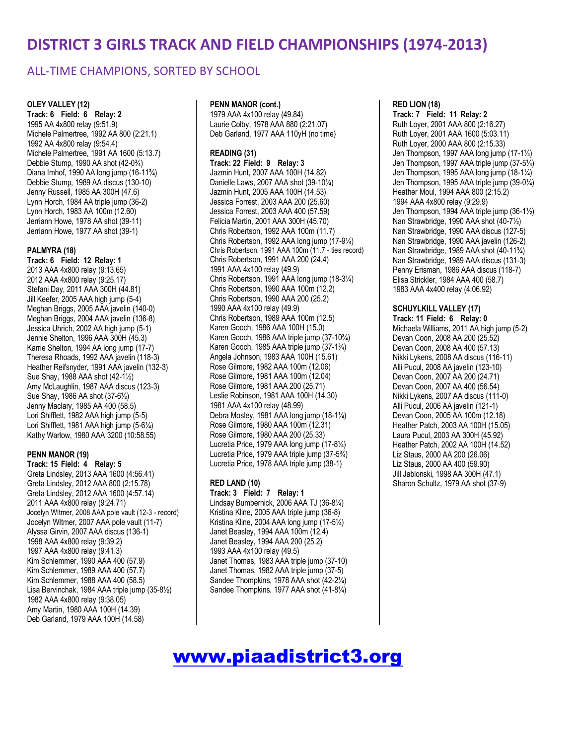### ALL-TIME CHAMPIONS, SORTED BY SCHOOL

#### **OLEY VALLEY (12)**

**Track: 6 Field: 6 Relay: 2** 1995 AA 4x800 relay (9:51.9) Michele Palmertree, 1992 AA 800 (2:21.1) 1992 AA 4x800 relay (9:54.4) Michele Palmertree, 1991 AA 1600 (5:13.7) Debbie Stump, 1990 AA shot (42-0¾) Diana Imhof, 1990 AA long jump (16-11¾) Debbie Stump, 1989 AA discus (130-10) Jenny Russell, 1985 AA 300H (47.6) Lynn Horch, 1984 AA triple jump (36-2) Lynn Horch, 1983 AA 100m (12.60) Jerriann Howe, 1978 AA shot (39-11) Jerriann Howe, 1977 AA shot (39-1)

#### **PALMYRA (18)**

**Track: 6 Field: 12 Relay: 1** 2013 AAA 4x800 relay (9:13.65) 2012 AAA 4x800 relay (9:25.17) Stefani Day, 2011 AAA 300H (44.81) Jill Keefer, 2005 AAA high jump (5-4) Meghan Briggs, 2005 AAA javelin (140-0) Meghan Briggs, 2004 AAA javelin (136-8) Jessica Uhrich, 2002 AA high jump (5-1) Jennie Shelton, 1996 AAA 300H (45.3) Karrie Shelton, 1994 AA long jump (17-7) Theresa Rhoads, 1992 AAA javelin (118-3) Heather Reifsnyder, 1991 AAA javelin (132-3) Sue Shay, 1988 AAA shot (42-1½) Amy McLaughlin, 1987 AAA discus (123-3) Sue Shay, 1986 AA shot (37-6½) Jenny Maclary, 1985 AA 400 (58.5) Lori Shifflett, 1982 AAA high jump (5-5) Lori Shifflett, 1981 AAA high jump (5-61/4) Kathy Warlow, 1980 AAA 3200 (10:58.55)

#### **PENN MANOR (19)**

**Track: 15 Field: 4 Relay: 5** Greta Lindsley, 2013 AAA 1600 (4:56.41) Greta Lindsley, 2012 AAA 800 (2:15.78) Greta Lindsley, 2012 AAA 1600 (4:57.14) 2011 AAA 4x800 relay (9:24.71) Jocelyn WItmer, 2008 AAA pole vault (12-3 - record) Jocelyn WItmer, 2007 AAA pole vault (11-7) Alyssa Girvin, 2007 AAA discus (136-1) 1998 AAA 4x800 relay (9:39.2) 1997 AAA 4x800 relay (9:41.3) Kim Schlemmer, 1990 AAA 400 (57.9) Kim Schlemmer, 1989 AAA 400 (57.7) Kim Schlemmer, 1988 AAA 400 (58.5) Lisa Bervinchak, 1984 AAA triple jump (35-8½) 1982 AAA 4x800 relay (9:38.05) Amy Martin, 1980 AAA 100H (14.39) Deb Garland, 1979 AAA 100H (14.58)

#### **PENN MANOR (cont.)**

1979 AAA 4x100 relay (49.84) Laurie Colby, 1978 AAA 880 (2:21.07) Deb Garland, 1977 AAA 110yH (no time)

#### **READING (31)**

**Track: 22 Field: 9 Relay: 3** Jazmin Hunt, 2007 AAA 100H (14.82) Danielle Laws, 2007 AAA shot (39-10¼) Jazmin Hunt, 2005 AAA 100H (14.53) Jessica Forrest, 2003 AAA 200 (25.60) Jessica Forrest, 2003 AAA 400 (57.59) Felicia Martin, 2001 AAA 300H (45.70) Chris Robertson, 1992 AAA 100m (11.7) Chris Robertson, 1992 AAA long jump (17-9¼) Chris Robertson, 1991 AAA 100m (11.7 - ties record) Chris Robertson, 1991 AAA 200 (24.4) 1991 AAA 4x100 relay (49.9) Chris Robertson, 1991 AAA long jump (18-3¼) Chris Robertson, 1990 AAA 100m (12.2) Chris Robertson, 1990 AAA 200 (25.2) 1990 AAA 4x100 relay (49.9) Chris Robertson, 1989 AAA 100m (12.5) Karen Gooch, 1986 AAA 100H (15.0) Karen Gooch, 1986 AAA triple jump (37-10¾) Karen Gooch, 1985 AAA triple jump (37-1¾) Angela Johnson, 1983 AAA 100H (15.61) Rose Gilmore, 1982 AAA 100m (12.06) Rose Gilmore, 1981 AAA 100m (12.04) Rose Gilmore, 1981 AAA 200 (25.71) Leslie Robinson, 1981 AAA 100H (14.30) 1981 AAA 4x100 relay (48.99) Debra Mosley, 1981 AAA long jump (18-11/4) Rose Gilmore, 1980 AAA 100m (12.31) Rose Gilmore, 1980 AAA 200 (25.33) Lucretia Price, 1979 AAA long jump (17-8¼) Lucretia Price, 1979 AAA triple jump (37-5¾) Lucretia Price, 1978 AAA triple jump (38-1)

#### **RED LAND (10)**

**Track: 3 Field: 7 Relay: 1** Lindsay Bumbernick, 2006 AAA TJ (36-8¼) Kristina Kline, 2005 AAA triple jump (36-8) Kristina Kline, 2004 AAA long jump (17-5¼) Janet Beasley, 1994 AAA 100m (12.4) Janet Beasley, 1994 AAA 200 (25.2) 1993 AAA 4x100 relay (49.5) Janet Thomas, 1983 AAA triple jump (37-10) Janet Thomas, 1982 AAA triple jump (37-5) Sandee Thompkins, 1978 AAA shot (42-2¼) Sandee Thompkins, 1977 AAA shot (41-81/4)

#### **RED LION (18)**

**Track: 7 Field: 11 Relay: 2** Ruth Loyer, 2001 AAA 800 (2:16.27) Ruth Loyer, 2001 AAA 1600 (5:03.11) Ruth Loyer, 2000 AAA 800 (2:15.33) Jen Thompson, 1997 AAA long jump (17-1¼) Jen Thompson, 1997 AAA triple jump (37-5¼) Jen Thompson, 1995 AAA long jump (18-1¼) Jen Thompson, 1995 AAA triple jump (39-0¼) Heather Moul, 1994 AAA 800 (2:15.2) 1994 AAA 4x800 relay (9:29.9) Jen Thompson, 1994 AAA triple jump (36-1½) Nan Strawbridge, 1990 AAA shot (40-7½) Nan Strawbridge, 1990 AAA discus (127-5) Nan Strawbridge, 1990 AAA javelin (126-2) Nan Strawbridge, 1989 AAA shot (40-11¾) Nan Strawbridge, 1989 AAA discus (131-3) Penny Erisman, 1986 AAA discus (118-7) Elisa Strickler, 1984 AAA 400 (58.7) 1983 AAA 4x400 relay (4:06.92)

#### **SCHUYLKILL VALLEY (17)**

**Track: 11 Field: 6 Relay: 0** Michaela Williams, 2011 AA high jump (5-2) Devan Coon, 2008 AA 200 (25.52) Devan Coon, 2008 AA 400 (57.13) Nikki Lykens, 2008 AA discus (116-11) Alli Pucul, 2008 AA javelin (123-10) Devan Coon, 2007 AA 200 (24.71) Devan Coon, 2007 AA 400 (56.54) Nikki Lykens, 2007 AA discus (111-0) Alli Pucul, 2006 AA javelin (121-1) Devan Coon, 2005 AA 100m (12.18) Heather Patch, 2003 AA 100H (15.05) Laura Pucul, 2003 AA 300H (45.92) Heather Patch, 2002 AA 100H (14.52) Liz Staus, 2000 AA 200 (26.06) Liz Staus, 2000 AA 400 (59.90) Jill Jablonski, 1998 AA 300H (47.1) Sharon Schultz, 1979 AA shot (37-9)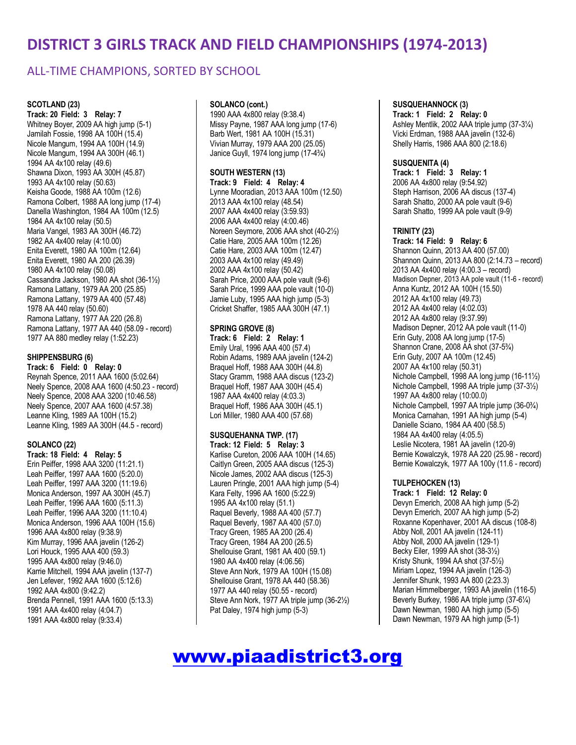### ALL-TIME CHAMPIONS, SORTED BY SCHOOL

#### **SCOTLAND (23)**

**Track: 20 Field: 3 Relay: 7** Whitney Boyer, 2009 AA high jump (5-1) Jamilah Fossie, 1998 AA 100H (15.4) Nicole Mangum, 1994 AA 100H (14.9) Nicole Mangum, 1994 AA 300H (46.1) 1994 AA 4x100 relay (49.6) Shawna Dixon, 1993 AA 300H (45.87) 1993 AA 4x100 relay (50.63) Keisha Goode, 1988 AA 100m (12.6) Ramona Colbert, 1988 AA long jump (17-4) Danella Washington, 1984 AA 100m (12.5) 1984 AA 4x100 relay (50.5) Maria Vangel, 1983 AA 300H (46.72) 1982 AA 4x400 relay (4:10.00) Enita Everett, 1980 AA 100m (12.64) Enita Everett, 1980 AA 200 (26.39) 1980 AA 4x100 relay (50.08) Cassandra Jackson, 1980 AA shot (36-1½) Ramona Lattany, 1979 AA 200 (25.85) Ramona Lattany, 1979 AA 400 (57.48) 1978 AA 440 relay (50.60) Ramona Lattany, 1977 AA 220 (26.8) Ramona Lattany, 1977 AA 440 (58.09 - record) 1977 AA 880 medley relay (1:52.23)

#### **SHIPPENSBURG (6)**

**Track: 6 Field: 0 Relay: 0** Reynah Spence, 2011 AAA 1600 (5:02.64) Neely Spence, 2008 AAA 1600 (4:50.23 - record) Neely Spence, 2008 AAA 3200 (10:46.58) Neely Spence, 2007 AAA 1600 (4:57.38) Leanne Kling, 1989 AA 100H (15.2) Leanne Kling, 1989 AA 300H (44.5 - record)

#### **SOLANCO (22)**

**Track: 18 Field: 4 Relay: 5** Erin Peiffer, 1998 AAA 3200 (11:21.1) Leah Peiffer, 1997 AAA 1600 (5:20.0) Leah Peiffer, 1997 AAA 3200 (11:19.6) Monica Anderson, 1997 AA 300H (45.7) Leah Peiffer, 1996 AAA 1600 (5:11.3) Leah Peiffer, 1996 AAA 3200 (11:10.4) Monica Anderson, 1996 AAA 100H (15.6) 1996 AAA 4x800 relay (9:38.9) Kim Murray, 1996 AAA javelin (126-2) Lori Houck, 1995 AAA 400 (59.3) 1995 AAA 4x800 relay (9:46.0) Karrie Mitchell, 1994 AAA javelin (137-7) Jen Lefever, 1992 AAA 1600 (5:12.6) 1992 AAA 4x800 (9:42.2) Brenda Pennell, 1991 AAA 1600 (5:13.3) 1991 AAA 4x400 relay (4:04.7) 1991 AAA 4x800 relay (9:33.4)

#### **SOLANCO (cont.)**

1990 AAA 4x800 relay (9:38.4) Missy Payne, 1987 AAA long jump (17-6) Barb Wert, 1981 AA 100H (15.31) Vivian Murray, 1979 AAA 200 (25.05) Janice Guyll, 1974 long jump (17-4¾)

#### **SOUTH WESTERN (13)**

**Track: 9 Field: 4 Relay: 4** Lynne Mooradian, 2013 AAA 100m (12.50) 2013 AAA 4x100 relay (48.54) 2007 AAA 4x400 relay (3:59.93) 2006 AAA 4x400 relay (4:00.46) Noreen Seymore, 2006 AAA shot (40-2½) Catie Hare, 2005 AAA 100m (12.26) Catie Hare, 2003 AAA 100m (12.47) 2003 AAA 4x100 relay (49.49) 2002 AAA 4x100 relay (50.42) Sarah Price, 2000 AAA pole vault (9-6) Sarah Price, 1999 AAA pole vault (10-0) Jamie Luby, 1995 AAA high jump (5-3) Cricket Shaffer, 1985 AAA 300H (47.1)

#### **SPRING GROVE (8)**

**Track: 6 Field: 2 Relay: 1** Emily Ural, 1996 AAA 400 (57.4) Robin Adams, 1989 AAA javelin (124-2) Braquel Hoff, 1988 AAA 300H (44.8) Stacy Gramm, 1988 AAA discus (123-2) Braquel Hoff, 1987 AAA 300H (45.4) 1987 AAA 4x400 relay (4:03.3) Braquel Hoff, 1986 AAA 300H (45.1) Lori Miller, 1980 AAA 400 (57.68)

#### **SUSQUEHANNA TWP. (17)**

**Track: 12 Field: 5 Relay: 3** Karlise Cureton, 2006 AAA 100H (14.65) Caitlyn Green, 2005 AAA discus (125-3) Nicole James, 2002 AAA discus (125-3) Lauren Pringle, 2001 AAA high jump (5-4) Kara Felty, 1996 AA 1600 (5:22.9) 1995 AA 4x100 relay (51.1) Raquel Beverly, 1988 AA 400 (57.7) Raquel Beverly, 1987 AA 400 (57.0) Tracy Green, 1985 AA 200 (26.4) Tracy Green, 1984 AA 200 (26.5) Shellouise Grant, 1981 AA 400 (59.1) 1980 AA 4x400 relay (4:06.56) Steve Ann Nork, 1979 AA 100H (15.08) Shellouise Grant, 1978 AA 440 (58.36) 1977 AA 440 relay (50.55 - record) Steve Ann Nork, 1977 AA triple jump (36-2½) Pat Daley, 1974 high jump (5-3)

#### **SUSQUEHANNOCK (3)**

**Track: 1 Field: 2 Relay: 0** Ashley Mentlik, 2002 AAA triple jump (37-3¼) Vicki Erdman, 1988 AAA javelin (132-6) Shelly Harris, 1986 AAA 800 (2:18.6)

#### **SUSQUENITA (4)**

**Track: 1 Field: 3 Relay: 1** 2006 AA 4x800 relay (9:54.92) Steph Harrison, 2006 AA discus (137-4) Sarah Shatto, 2000 AA pole vault (9-6) Sarah Shatto, 1999 AA pole vault (9-9)

#### **TRINITY (23)**

**Track: 14 Field: 9 Relay: 6** Shannon Quinn, 2013 AA 400 (57.00) Shannon Quinn, 2013 AA 800 (2:14.73 – record) 2013 AA 4x400 relay (4:00.3 – record) Madison Depner, 2013 AA pole vault (11-6 - record) Anna Kuntz, 2012 AA 100H (15.50) 2012 AA 4x100 relay (49.73) 2012 AA 4x400 relay (4:02.03) 2012 AA 4x800 relay (9:37.99) Madison Depner, 2012 AA pole vault (11-0) Erin Guty, 2008 AA long jump (17-5) Shannon Crane, 2008 AA shot (37-5¾) Erin Guty, 2007 AA 100m (12.45) 2007 AA 4x100 relay (50.31) Nichole Campbell, 1998 AA long jump (16-11½) Nichole Campbell, 1998 AA triple jump (37-3½) 1997 AA 4x800 relay (10:00.0) Nichole Campbell, 1997 AA triple jump (36-0¾) Monica Carnahan, 1991 AA high jump (5-4) Danielle Sciano, 1984 AA 400 (58.5) 1984 AA 4x400 relay (4:05.5) Leslie Nicotera, 1981 AA javelin (120-9) Bernie Kowalczyk, 1978 AA 220 (25.98 - record) Bernie Kowalczyk, 1977 AA 100y (11.6 - record)

#### **TULPEHOCKEN (13)**

**Track: 1 Field: 12 Relay: 0** Devyn Emerich, 2008 AA high jump (5-2) Devyn Emerich, 2007 AA high jump (5-2) Roxanne Kopenhaver, 2001 AA discus (108-8) Abby Noll, 2001 AA javelin (124-11) Abby Noll, 2000 AA javelin (129-1) Becky Eiler, 1999 AA shot (38-3½) Kristy Shunk, 1994 AA shot (37-5½) Miriam Lopez, 1994 AA javelin (126-3) Jennifer Shunk, 1993 AA 800 (2:23.3) Marian Himmelberger, 1993 AA javelin (116-5) Beverly Burkey, 1986 AA triple jump (37-6¼) Dawn Newman, 1980 AA high jump (5-5) Dawn Newman, 1979 AA high jump (5-1)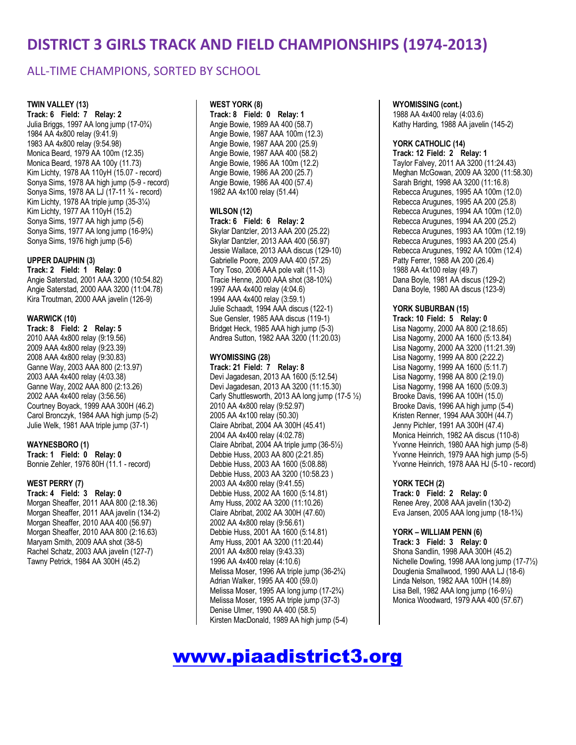### ALL-TIME CHAMPIONS, SORTED BY SCHOOL

#### **TWIN VALLEY (13)**

**Track: 6 Field: 7 Relay: 2** Julia Briggs, 1997 AA long jump (17-0¾) 1984 AA 4x800 relay (9:41.9) 1983 AA 4x800 relay (9:54.98) Monica Beard, 1979 AA 100m (12.35) Monica Beard, 1978 AA 100y (11.73) Kim Lichty, 1978 AA 110yH (15.07 - record) Sonya Sims, 1978 AA high jump (5-9 - record) Sonya Sims, 1978 AA LJ (17-11 ¾ - record) Kim Lichty, 1978 AA triple jump (35-3¼) Kim Lichty, 1977 AA 110yH (15.2) Sonya Sims, 1977 AA high jump (5-6) Sonya Sims, 1977 AA long jump (16-9¾) Sonya Sims, 1976 high jump (5-6)

#### **UPPER DAUPHIN (3)**

**Track: 2 Field: 1 Relay: 0** Angie Saterstad, 2001 AAA 3200 (10:54.82) Angie Saterstad, 2000 AAA 3200 (11:04.78) Kira Troutman, 2000 AAA javelin (126-9)

#### **WARWICK (10)**

**Track: 8 Field: 2 Relay: 5** 2010 AAA 4x800 relay (9:19.56) 2009 AAA 4x800 relay (9:23.39) 2008 AAA 4x800 relay (9:30.83) Ganne Way, 2003 AAA 800 (2:13.97) 2003 AAA 4x400 relay (4:03.38) Ganne Way, 2002 AAA 800 (2:13.26) 2002 AAA 4x400 relay (3:56.56) Courtney Boyack, 1999 AAA 300H (46.2) Carol Bronczyk, 1984 AAA high jump (5-2) Julie Welk, 1981 AAA triple jump (37-1)

#### **WAYNESBORO (1)**

**Track: 1 Field: 0 Relay: 0** Bonnie Zehler, 1976 80H (11.1 - record)

#### **WEST PERRY (7)**

**Track: 4 Field: 3 Relay: 0** Morgan Sheaffer, 2011 AAA 800 (2:18.36) Morgan Sheaffer, 2011 AAA javelin (134-2) Morgan Sheaffer, 2010 AAA 400 (56.97) Morgan Sheaffer, 2010 AAA 800 (2:16.63) Maryam Smith, 2009 AAA shot (38-5) Rachel Schatz, 2003 AAA javelin (127-7) Tawny Petrick, 1984 AA 300H (45.2)

#### **WEST YORK (8)**

**Track: 8 Field: 0 Relay: 1** Angie Bowie, 1989 AA 400 (58.7) Angie Bowie, 1987 AAA 100m (12.3) Angie Bowie, 1987 AAA 200 (25.9) Angie Bowie, 1987 AAA 400 (58.2) Angie Bowie, 1986 AA 100m (12.2) Angie Bowie, 1986 AA 200 (25.7) Angie Bowie, 1986 AA 400 (57.4) 1982 AA 4x100 relay (51.44)

#### **WILSON (12)**

**Track: 6 Field: 6 Relay: 2** Skylar Dantzler, 2013 AAA 200 (25.22) Skylar Dantzler, 2013 AAA 400 (56.97) Jessie Wallace, 2013 AAA discus (129-10) Gabrielle Poore, 2009 AAA 400 (57.25) Tory Toso, 2006 AAA pole valt (11-3) Tracie Henne, 2000 AAA shot (38-10¾) 1997 AAA 4x400 relay (4:04.6) 1994 AAA 4x400 relay (3:59.1) Julie Schaadt, 1994 AAA discus (122-1) Sue Gensler, 1985 AAA discus (119-1) Bridget Heck, 1985 AAA high jump (5-3) Andrea Sutton, 1982 AAA 3200 (11:20.03)

#### **WYOMISSING (28)**

**Track: 21 Field: 7 Relay: 8** Devi Jagadesan, 2013 AA 1600 (5:12.54) Devi Jagadesan, 2013 AA 3200 (11:15.30) Carly Shuttlesworth, 2013 AA long jump (17-5 ½) 2010 AA 4x800 relay (9:52.97) 2005 AA 4x100 relay (50.30) Claire Abribat, 2004 AA 300H (45.41) 2004 AA 4x400 relay (4:02.78) Claire Abribat, 2004 AA triple jump (36-5½) Debbie Huss, 2003 AA 800 (2:21.85) Debbie Huss, 2003 AA 1600 (5:08.88) Debbie Huss, 2003 AA 3200 (10:58.23 ) 2003 AA 4x800 relay (9:41.55) Debbie Huss, 2002 AA 1600 (5:14.81) Amy Huss, 2002 AA 3200 (11:10.26) Claire Abribat, 2002 AA 300H (47.60) 2002 AA 4x800 relay (9:56.61) Debbie Huss, 2001 AA 1600 (5:14.81) Amy Huss, 2001 AA 3200 (11:20.44) 2001 AA 4x800 relay (9:43.33) 1996 AA 4x400 relay (4:10.6) Melissa Moser, 1996 AA triple jump (36-2¾) Adrian Walker, 1995 AA 400 (59.0) Melissa Moser, 1995 AA long jump (17-2¾) Melissa Moser, 1995 AA triple jump (37-3) Denise Ulmer, 1990 AA 400 (58.5) Kirsten MacDonald, 1989 AA high jump (5-4)

#### **WYOMISSING (cont.)**

1988 AA 4x400 relay (4:03.6) Kathy Harding, 1988 AA javelin (145-2)

#### **YORK CATHOLIC (14)**

**Track: 12 Field: 2 Relay: 1** Taylor Falvey, 2011 AA 3200 (11:24.43) Meghan McGowan, 2009 AA 3200 (11:58.30) Sarah Bright, 1998 AA 3200 (11:16.8) Rebecca Arugunes, 1995 AA 100m (12.0) Rebecca Arugunes, 1995 AA 200 (25.8) Rebecca Arugunes, 1994 AA 100m (12.0) Rebecca Arugunes, 1994 AA 200 (25.2) Rebecca Arugunes, 1993 AA 100m (12.19) Rebecca Arugunes, 1993 AA 200 (25.4) Rebecca Arugunes, 1992 AA 100m (12.4) Patty Ferrer, 1988 AA 200 (26.4) 1988 AA 4x100 relay (49.7) Dana Boyle, 1981 AA discus (129-2) Dana Boyle, 1980 AA discus (123-9)

#### **YORK SUBURBAN (15)**

**Track: 10 Field: 5 Relay: 0** Lisa Nagorny, 2000 AA 800 (2:18.65) Lisa Nagorny, 2000 AA 1600 (5:13.84) Lisa Nagorny, 2000 AA 3200 (11:21.39) Lisa Nagorny, 1999 AA 800 (2:22.2) Lisa Nagorny, 1999 AA 1600 (5:11.7) Lisa Nagorny, 1998 AA 800 (2:19.0) Lisa Nagorny, 1998 AA 1600 (5:09.3) Brooke Davis, 1996 AA 100H (15.0) Brooke Davis, 1996 AA high jump (5-4) Kristen Renner, 1994 AAA 300H (44.7) Jenny Pichler, 1991 AA 300H (47.4) Monica Heinrich, 1982 AA discus (110-8) Yvonne Heinrich, 1980 AAA high jump (5-8) Yvonne Heinrich, 1979 AAA high jump (5-5) Yvonne Heinrich, 1978 AAA HJ (5-10 - record)

#### **YORK TECH (2)**

**Track: 0 Field: 2 Relay: 0** Renee Arey, 2008 AAA javelin (130-2) Eva Jansen, 2005 AAA long jump (18-1¾)

#### **YORK – WILLIAM PENN (6)**

**Track: 3 Field: 3 Relay: 0** Shona Sandlin, 1998 AAA 300H (45.2) Nichelle Dowling, 1998 AAA long jump (17-7½) Douglenia Smallwood, 1990 AAA LJ (18-6) Linda Nelson, 1982 AAA 100H (14.89) Lisa Bell, 1982 AAA long jump (16-9½) Monica Woodward, 1979 AAA 400 (57.67)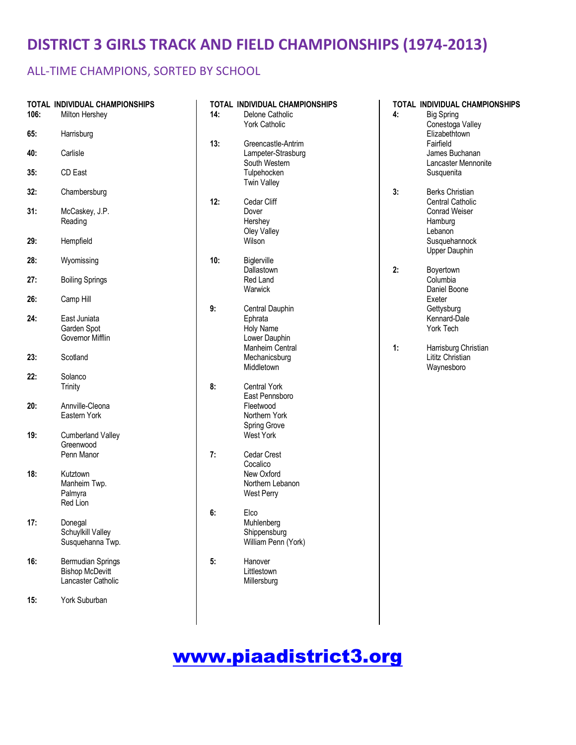## ALL-TIME CHAMPIONS, SORTED BY SCHOOL

|      | TOTAL INDIVIDUAL CHAMPIONSHIPS |     | <b>TOTAL INDIVIDUAL CHAMPIONSHIPS</b> |    | TOTAL INDIVIDUAL CHAMPIONSHIPS |
|------|--------------------------------|-----|---------------------------------------|----|--------------------------------|
| 106: | Milton Hershey                 | 14: | Delone Catholic                       | 4: | <b>Big Spring</b>              |
|      |                                |     | York Catholic                         |    | Conestoga Valley               |
| 65:  | Harrisburg                     |     |                                       |    | Elizabethtown                  |
|      |                                | 13: | Greencastle-Antrim                    |    | Fairfield                      |
| 40:  | Carlisle                       |     | Lampeter-Strasburg                    |    | James Buchanan                 |
|      |                                |     | South Western                         |    | Lancaster Mennonite            |
| 35:  | CD East                        |     | Tulpehocken                           |    | Susquenita                     |
|      |                                |     | <b>Twin Valley</b>                    |    |                                |
| 32:  | Chambersburg                   |     |                                       | 3: | <b>Berks Christian</b>         |
|      |                                | 12: | Cedar Cliff                           |    | Central Catholic               |
| 31:  | McCaskey, J.P.                 |     | Dover                                 |    | Conrad Weiser                  |
|      | Reading                        |     | Hershey                               |    | Hamburg                        |
| 29:  |                                |     | Oley Valley<br>Wilson                 |    | Lebanon                        |
|      | Hempfield                      |     |                                       |    | Susquehannock                  |
| 28:  |                                | 10: | Biglerville                           |    | Upper Dauphin                  |
|      | Wyomissing                     |     | Dallastown                            | 2: | Boyertown                      |
| 27:  | <b>Boiling Springs</b>         |     | Red Land                              |    | Columbia                       |
|      |                                |     | Warwick                               |    | Daniel Boone                   |
| 26:  | Camp Hill                      |     |                                       |    | Exeter                         |
|      |                                | 9:  | Central Dauphin                       |    | Gettysburg                     |
| 24:  | East Juniata                   |     | Ephrata                               |    | Kennard-Dale                   |
|      | Garden Spot                    |     | Holy Name                             |    | York Tech                      |
|      | Governor Mifflin               |     | Lower Dauphin                         |    |                                |
|      |                                |     | Manheim Central                       | 1: | Harrisburg Christian           |
| 23:  | Scotland                       |     | Mechanicsburg                         |    | Lititz Christian               |
|      |                                |     | Middletown                            |    | Waynesboro                     |
| 22:  | Solanco                        |     |                                       |    |                                |
|      | Trinity                        | 8:  | <b>Central York</b>                   |    |                                |
|      |                                |     | East Pennsboro                        |    |                                |
| 20:  | Annville-Cleona                |     | Fleetwood                             |    |                                |
|      | Eastern York                   |     | Northern York                         |    |                                |
|      |                                |     | Spring Grove                          |    |                                |
| 19:  | <b>Cumberland Valley</b>       |     | West York                             |    |                                |
|      | Greenwood                      |     |                                       |    |                                |
|      | Penn Manor                     | 7:  | Cedar Crest                           |    |                                |
|      |                                |     | Cocalico<br>New Oxford                |    |                                |
| 18:  | Kutztown                       |     |                                       |    |                                |
|      | Manheim Twp.<br>Palmyra        |     | Northern Lebanon                      |    |                                |
|      | Red Lion                       |     | <b>West Perry</b>                     |    |                                |
|      |                                | 6:  | Elco                                  |    |                                |
| 17:  | Donegal                        |     | Muhlenberg                            |    |                                |
|      | Schuylkill Valley              |     | Shippensburg                          |    |                                |
|      | Susquehanna Twp.               |     | William Penn (York)                   |    |                                |
|      |                                |     |                                       |    |                                |
| 16:  | <b>Bermudian Springs</b>       | 5:  | Hanover                               |    |                                |
|      | <b>Bishop McDevitt</b>         |     | Littlestown                           |    |                                |
|      | Lancaster Catholic             |     | Millersburg                           |    |                                |
|      |                                |     |                                       |    |                                |
| 15:  | York Suburban                  |     |                                       |    |                                |
|      |                                |     |                                       |    |                                |
|      |                                |     |                                       |    |                                |
|      |                                |     |                                       |    |                                |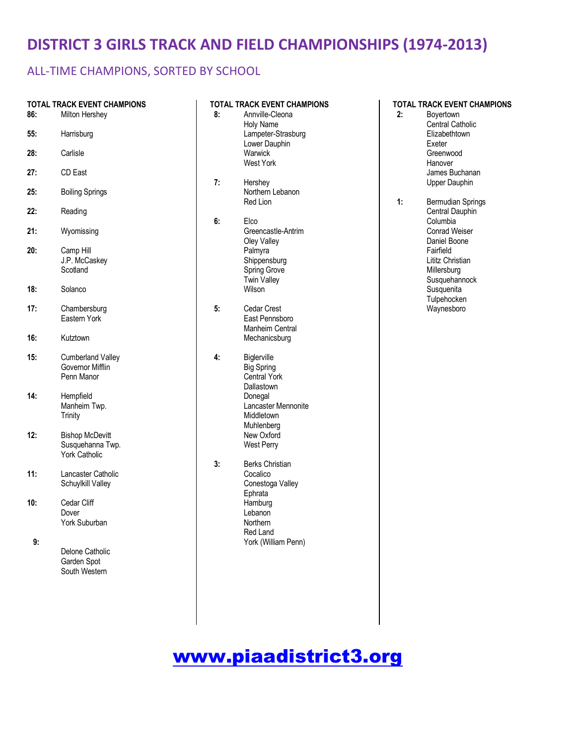## ALL-TIME CHAMPIONS, SORTED BY SCHOOL

| 86: | TOTAL TRACK EVENT CHAMPIONS<br>Milton Hershey                      |
|-----|--------------------------------------------------------------------|
| 55: | Harrisburg                                                         |
| 28: | Carlisle                                                           |
| 27: | CD East                                                            |
| 25: | <b>Boiling Springs</b>                                             |
| 22: | Reading                                                            |
| 21: | Wyomissing                                                         |
| 20: | Camp Hill<br>J.P. McCaskey<br>Scotland                             |
| 18: | Solanco                                                            |
| 17: | Chambersburg<br>Eastern York                                       |
| 16: | Kutztown                                                           |
| 15: | <b>Cumberland Valley</b><br>Governor Mifflin<br>Penn Manor         |
| 14: | Hempfield<br>Manheim Twp.<br>Trinity                               |
| 12: | <b>Bishop McDevitt</b><br>Susquehanna Twp.<br><b>York Catholic</b> |
| 11: | Lancaster Catholic<br>Schuylkill Valley                            |
| 10: | Cedar Cliff<br>Dover<br>York Suburban                              |
| 9:  | Delone Catholic<br>Garden Spot<br>South Western                    |

| 8: | TOTAL TRACK EVENT CHAMPIONS<br>Annville-Cleona<br><b>Holy Name</b><br>Lampeter-Strasburg<br>Lower Dauphin<br>Warwick<br><b>West York</b>                        |
|----|-----------------------------------------------------------------------------------------------------------------------------------------------------------------|
| 7: | Hershey<br>Northern Lebanon<br>Red Lion                                                                                                                         |
| 6: | Elco<br>Greencastle-Antrim<br>Oley Valley<br>Palmyra<br>Shippensburg<br><b>Spring Grove</b><br><b>Twin Valley</b><br>Wilson                                     |
| 5: | <b>Cedar Crest</b><br>East Pennsboro<br>Manheim Central<br>Mechanicsburg                                                                                        |
| 4: | Biglerville<br><b>Big Spring</b><br><b>Central York</b><br>Dallastown<br>Donegal<br>Lancaster Mennonite<br>Middletown<br>Muhlenberg<br>New Oxford<br>West Perry |
| 3. | <b>Berks Christian</b><br>Cocalico<br>Conestoga Valley<br>Ephrata<br>Hamburg<br>Lebanon<br>Northern<br>Red Land<br>York (William Penn)                          |

| 2: | Boyertown<br>Central Catholic<br>Elizabethtown<br>Exeter<br>Greenwood<br>Hanover<br>James Buchanan<br>Upper Dauphin                                                                    |
|----|----------------------------------------------------------------------------------------------------------------------------------------------------------------------------------------|
| 1: | Bermudian Springs<br>Central Dauphin<br>Columbia<br><b>Conrad Weiser</b><br>Daniel Boone<br>Fairfield<br>Lititz Christian<br>Millersburg<br>Susquehannock<br>Susquenita<br>Tulpehocken |

Waynesboro

**TOTAL TRACK EVENT CHAMPIONS**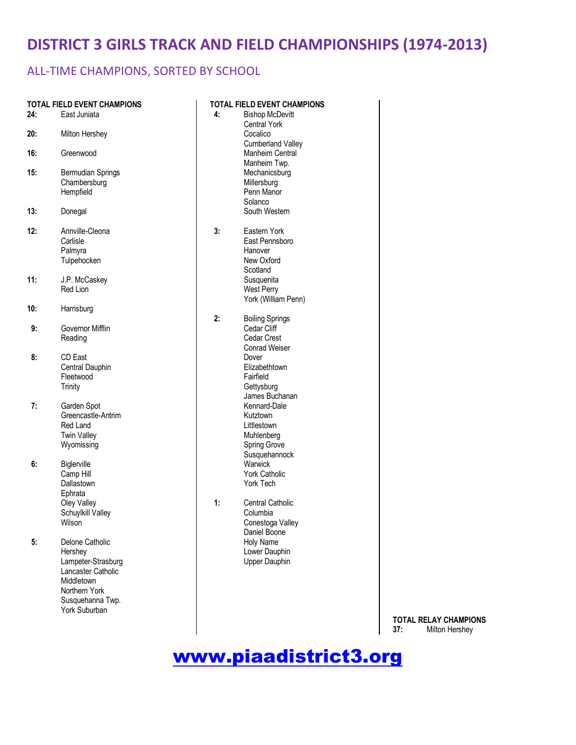### ALL-TIME CHAMPIONS, SORTED BY SCHOOL

| 24: | <b>TOTAL FIELD EVENT CHAMPIONS</b><br>East Juniata                                                                                         | 4: | <b>TOTAL FIELD EVENT CHAMPIONS</b><br><b>Bishop McDevitt</b>                                            |
|-----|--------------------------------------------------------------------------------------------------------------------------------------------|----|---------------------------------------------------------------------------------------------------------|
| 20: | Milton Hershey                                                                                                                             |    | <b>Central York</b><br>Cocalico                                                                         |
| 16: | Greenwood                                                                                                                                  |    | <b>Cumberland Valley</b><br>Manheim Central<br>Manheim Twp.                                             |
| 15: | Bermudian Springs<br>Chambersburg<br>Hempfield                                                                                             |    | Mechanicsburg<br>Millersburg<br>Penn Manor<br>Solanco                                                   |
| 13: | Donegal                                                                                                                                    |    | South Western                                                                                           |
| 12: | Annville-Cleona<br>Carlisle<br>Palmyra<br>Tulpehocken                                                                                      | 3: | Eastern York<br>East Pennsboro<br>Hanover<br>New Oxford<br>Scotland                                     |
| 11: | J.P. McCaskey<br>Red Lion                                                                                                                  |    | Susquenita<br>West Perry<br>York (William Penn)                                                         |
| 10: | Harrisburg                                                                                                                                 | 2: | <b>Boiling Springs</b>                                                                                  |
| 9:  | Governor Mifflin<br>Reading                                                                                                                |    | Cedar Cliff<br>Cedar Crest<br><b>Conrad Weiser</b>                                                      |
| 8:  | CD East<br>Central Dauphin<br>Fleetwood<br>Trinity                                                                                         |    | Dover<br>Elizabethtown<br>Fairfield<br>Gettysburg<br>James Buchanan                                     |
| 7:  | Garden Spot<br>Greencastle-Antrim<br>Red Land<br><b>Twin Valley</b><br>Wyomissing                                                          |    | Kennard-Dale<br>Kutztown<br>Littlestown<br>Muhlenberg<br>Spring Grove<br>Susquehannock                  |
| 6:  | Biglerville<br>Camp Hill<br>Dallastown<br>Ephrata<br>Oley Valley<br>Schuylkill Valley<br>Wilson                                            | 1: | Warwick<br><b>York Catholic</b><br>York Tech<br><b>Central Catholic</b><br>Columbia<br>Conestoga Valley |
| 5:  | Delone Catholic<br>Hershey<br>Lampeter-Strasburg<br>Lancaster Catholic<br>Middletown<br>Northern York<br>Susquehanna Twp.<br>York Suburban |    | Daniel Boone<br>Holy Name<br>Lower Dauphin<br>Upper Dauphin                                             |

**TOTAL RELAY CHAMPIONS**<br>**37:** Milton Hershey **37:** Milton Hershey